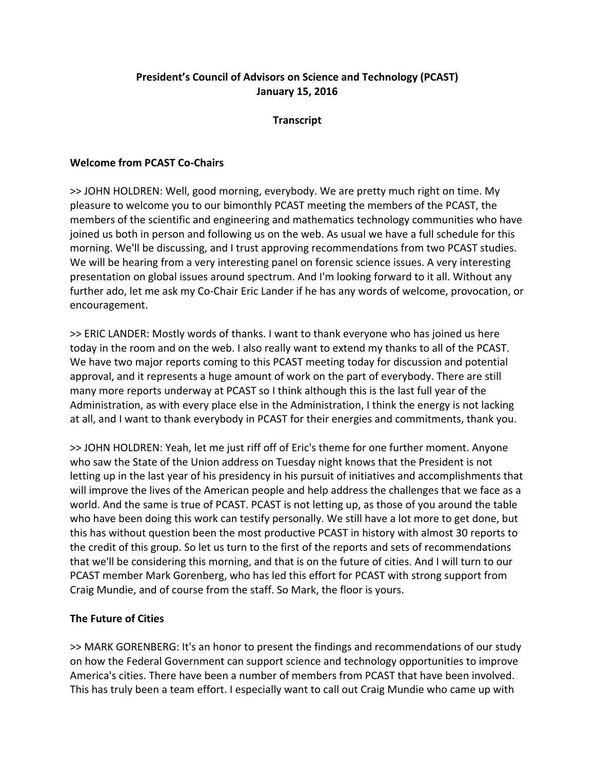# **President's Council of Advisors on Science and Technology (PCAST) January 15, 2016**

## **Transcript**

## **Welcome from PCAST Co‐Chairs**

>> JOHN HOLDREN: Well, good morning, everybody. We are pretty much right on time. My pleasure to welcome you to our bimonthly PCAST meeting the members of the PCAST, the members of the scientific and engineering and mathematics technology communities who have joined us both in person and following us on the web. As usual we have a full schedule for this morning. We'll be discussing, and I trust approving recommendations from two PCAST studies. We will be hearing from a very interesting panel on forensic science issues. A very interesting presentation on global issues around spectrum. And I'm looking forward to it all. Without any further ado, let me ask my Co-Chair Eric Lander if he has any words of welcome, provocation, or encouragement.

>> ERIC LANDER: Mostly words of thanks. I want to thank everyone who has joined us here today in the room and on the web. I also really want to extend my thanks to all of the PCAST. We have two major reports coming to this PCAST meeting today for discussion and potential approval, and it represents a huge amount of work on the part of everybody. There are still many more reports underway at PCAST so I think although this is the last full year of the Administration, as with every place else in the Administration, I think the energy is not lacking at all, and I want to thank everybody in PCAST for their energies and commitments, thank you.

>> JOHN HOLDREN: Yeah, let me just riff off of Eric's theme for one further moment. Anyone who saw the State of the Union address on Tuesday night knows that the President is not letting up in the last year of his presidency in his pursuit of initiatives and accomplishments that will improve the lives of the American people and help address the challenges that we face as a world. And the same is true of PCAST. PCAST is not letting up, as those of you around the table who have been doing this work can testify personally. We still have a lot more to get done, but this has without question been the most productive PCAST in history with almost 30 reports to the credit of this group. So let us turn to the first of the reports and sets of recommendations that we'll be considering this morning, and that is on the future of cities. And I will turn to our PCAST member Mark Gorenberg, who has led this effort for PCAST with strong support from Craig Mundie, and of course from the staff. So Mark, the floor is yours.

# **The Future of Cities**

>> MARK GORENBERG: It's an honor to present the findings and recommendations of our study on how the Federal Government can support science and technology opportunities to improve America's cities. There have been a number of members from PCAST that have been involved. This has truly been a team effort. I especially want to call out Craig Mundie who came up with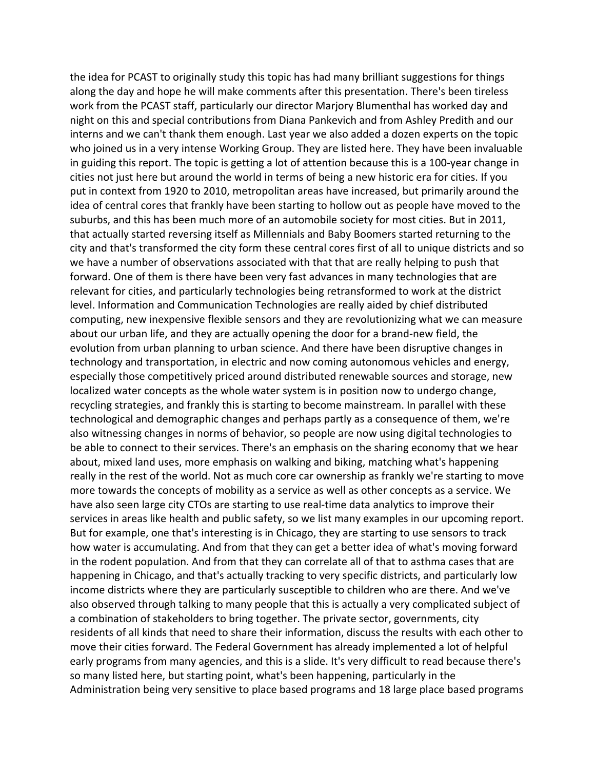the idea for PCAST to originally study this topic has had many brilliant suggestions for things along the day and hope he will make comments after this presentation. There's been tireless work from the PCAST staff, particularly our director Marjory Blumenthal has worked day and night on this and special contributions from Diana Pankevich and from Ashley Predith and our interns and we can't thank them enough. Last year we also added a dozen experts on the topic who joined us in a very intense Working Group. They are listed here. They have been invaluable in guiding this report. The topic is getting a lot of attention because this is a 100‐year change in cities not just here but around the world in terms of being a new historic era for cities. If you put in context from 1920 to 2010, metropolitan areas have increased, but primarily around the idea of central cores that frankly have been starting to hollow out as people have moved to the suburbs, and this has been much more of an automobile society for most cities. But in 2011, that actually started reversing itself as Millennials and Baby Boomers started returning to the city and that's transformed the city form these central cores first of all to unique districts and so we have a number of observations associated with that that are really helping to push that forward. One of them is there have been very fast advances in many technologies that are relevant for cities, and particularly technologies being retransformed to work at the district level. Information and Communication Technologies are really aided by chief distributed computing, new inexpensive flexible sensors and they are revolutionizing what we can measure about our urban life, and they are actually opening the door for a brand‐new field, the evolution from urban planning to urban science. And there have been disruptive changes in technology and transportation, in electric and now coming autonomous vehicles and energy, especially those competitively priced around distributed renewable sources and storage, new localized water concepts as the whole water system is in position now to undergo change, recycling strategies, and frankly this is starting to become mainstream. In parallel with these technological and demographic changes and perhaps partly as a consequence of them, we're also witnessing changes in norms of behavior, so people are now using digital technologies to be able to connect to their services. There's an emphasis on the sharing economy that we hear about, mixed land uses, more emphasis on walking and biking, matching what's happening really in the rest of the world. Not as much core car ownership as frankly we're starting to move more towards the concepts of mobility as a service as well as other concepts as a service. We have also seen large city CTOs are starting to use real-time data analytics to improve their services in areas like health and public safety, so we list many examples in our upcoming report. But for example, one that's interesting is in Chicago, they are starting to use sensors to track how water is accumulating. And from that they can get a better idea of what's moving forward in the rodent population. And from that they can correlate all of that to asthma cases that are happening in Chicago, and that's actually tracking to very specific districts, and particularly low income districts where they are particularly susceptible to children who are there. And we've also observed through talking to many people that this is actually a very complicated subject of a combination of stakeholders to bring together. The private sector, governments, city residents of all kinds that need to share their information, discuss the results with each other to move their cities forward. The Federal Government has already implemented a lot of helpful early programs from many agencies, and this is a slide. It's very difficult to read because there's so many listed here, but starting point, what's been happening, particularly in the Administration being very sensitive to place based programs and 18 large place based programs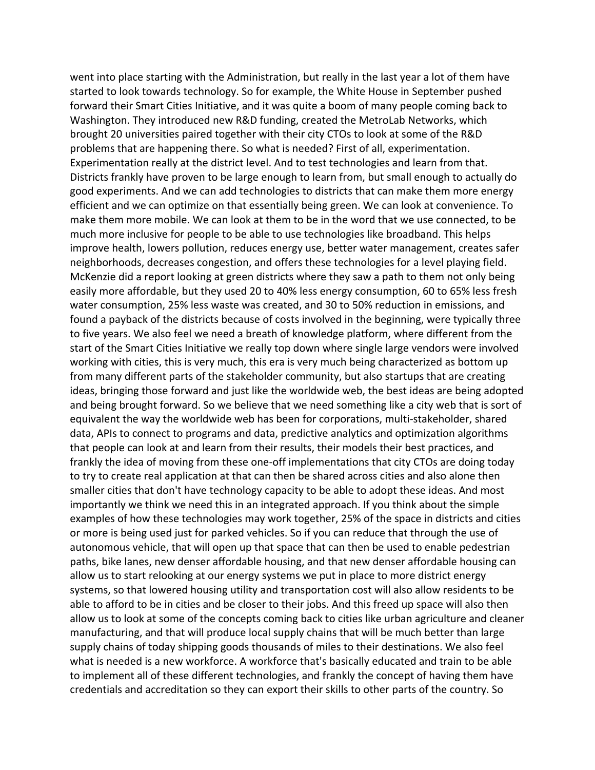went into place starting with the Administration, but really in the last year a lot of them have started to look towards technology. So for example, the White House in September pushed forward their Smart Cities Initiative, and it was quite a boom of many people coming back to Washington. They introduced new R&D funding, created the MetroLab Networks, which brought 20 universities paired together with their city CTOs to look at some of the R&D problems that are happening there. So what is needed? First of all, experimentation. Experimentation really at the district level. And to test technologies and learn from that. Districts frankly have proven to be large enough to learn from, but small enough to actually do good experiments. And we can add technologies to districts that can make them more energy efficient and we can optimize on that essentially being green. We can look at convenience. To make them more mobile. We can look at them to be in the word that we use connected, to be much more inclusive for people to be able to use technologies like broadband. This helps improve health, lowers pollution, reduces energy use, better water management, creates safer neighborhoods, decreases congestion, and offers these technologies for a level playing field. McKenzie did a report looking at green districts where they saw a path to them not only being easily more affordable, but they used 20 to 40% less energy consumption, 60 to 65% less fresh water consumption, 25% less waste was created, and 30 to 50% reduction in emissions, and found a payback of the districts because of costs involved in the beginning, were typically three to five years. We also feel we need a breath of knowledge platform, where different from the start of the Smart Cities Initiative we really top down where single large vendors were involved working with cities, this is very much, this era is very much being characterized as bottom up from many different parts of the stakeholder community, but also startups that are creating ideas, bringing those forward and just like the worldwide web, the best ideas are being adopted and being brought forward. So we believe that we need something like a city web that is sort of equivalent the way the worldwide web has been for corporations, multi‐stakeholder, shared data, APIs to connect to programs and data, predictive analytics and optimization algorithms that people can look at and learn from their results, their models their best practices, and frankly the idea of moving from these one‐off implementations that city CTOs are doing today to try to create real application at that can then be shared across cities and also alone then smaller cities that don't have technology capacity to be able to adopt these ideas. And most importantly we think we need this in an integrated approach. If you think about the simple examples of how these technologies may work together, 25% of the space in districts and cities or more is being used just for parked vehicles. So if you can reduce that through the use of autonomous vehicle, that will open up that space that can then be used to enable pedestrian paths, bike lanes, new denser affordable housing, and that new denser affordable housing can allow us to start relooking at our energy systems we put in place to more district energy systems, so that lowered housing utility and transportation cost will also allow residents to be able to afford to be in cities and be closer to their jobs. And this freed up space will also then allow us to look at some of the concepts coming back to cities like urban agriculture and cleaner manufacturing, and that will produce local supply chains that will be much better than large supply chains of today shipping goods thousands of miles to their destinations. We also feel what is needed is a new workforce. A workforce that's basically educated and train to be able to implement all of these different technologies, and frankly the concept of having them have credentials and accreditation so they can export their skills to other parts of the country. So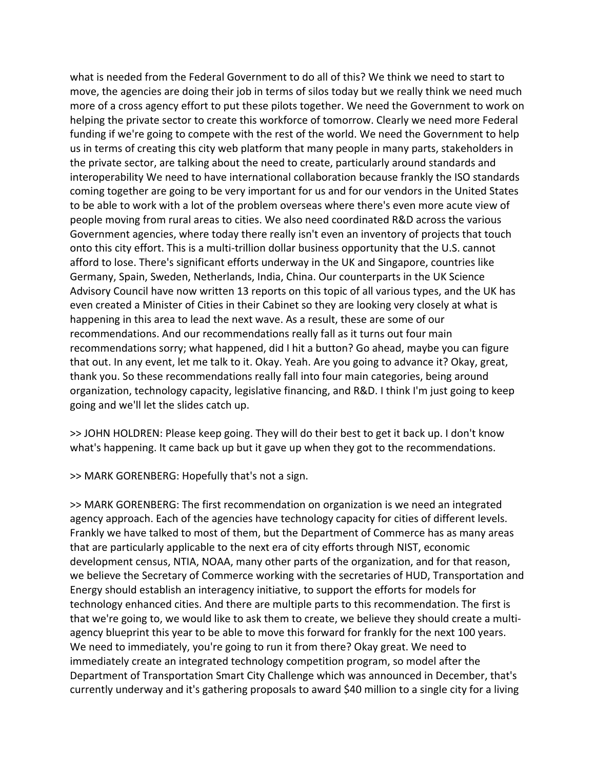what is needed from the Federal Government to do all of this? We think we need to start to move, the agencies are doing their job in terms of silos today but we really think we need much more of a cross agency effort to put these pilots together. We need the Government to work on helping the private sector to create this workforce of tomorrow. Clearly we need more Federal funding if we're going to compete with the rest of the world. We need the Government to help us in terms of creating this city web platform that many people in many parts, stakeholders in the private sector, are talking about the need to create, particularly around standards and interoperability We need to have international collaboration because frankly the ISO standards coming together are going to be very important for us and for our vendors in the United States to be able to work with a lot of the problem overseas where there's even more acute view of people moving from rural areas to cities. We also need coordinated R&D across the various Government agencies, where today there really isn't even an inventory of projects that touch onto this city effort. This is a multi‐trillion dollar business opportunity that the U.S. cannot afford to lose. There's significant efforts underway in the UK and Singapore, countries like Germany, Spain, Sweden, Netherlands, India, China. Our counterparts in the UK Science Advisory Council have now written 13 reports on this topic of all various types, and the UK has even created a Minister of Cities in their Cabinet so they are looking very closely at what is happening in this area to lead the next wave. As a result, these are some of our recommendations. And our recommendations really fall as it turns out four main recommendations sorry; what happened, did I hit a button? Go ahead, maybe you can figure that out. In any event, let me talk to it. Okay. Yeah. Are you going to advance it? Okay, great, thank you. So these recommendations really fall into four main categories, being around organization, technology capacity, legislative financing, and R&D. I think I'm just going to keep going and we'll let the slides catch up.

>> JOHN HOLDREN: Please keep going. They will do their best to get it back up. I don't know what's happening. It came back up but it gave up when they got to the recommendations.

>> MARK GORENBERG: Hopefully that's not a sign.

>> MARK GORENBERG: The first recommendation on organization is we need an integrated agency approach. Each of the agencies have technology capacity for cities of different levels. Frankly we have talked to most of them, but the Department of Commerce has as many areas that are particularly applicable to the next era of city efforts through NIST, economic development census, NTIA, NOAA, many other parts of the organization, and for that reason, we believe the Secretary of Commerce working with the secretaries of HUD, Transportation and Energy should establish an interagency initiative, to support the efforts for models for technology enhanced cities. And there are multiple parts to this recommendation. The first is that we're going to, we would like to ask them to create, we believe they should create a multi‐ agency blueprint this year to be able to move this forward for frankly for the next 100 years. We need to immediately, you're going to run it from there? Okay great. We need to immediately create an integrated technology competition program, so model after the Department of Transportation Smart City Challenge which was announced in December, that's currently underway and it's gathering proposals to award \$40 million to a single city for a living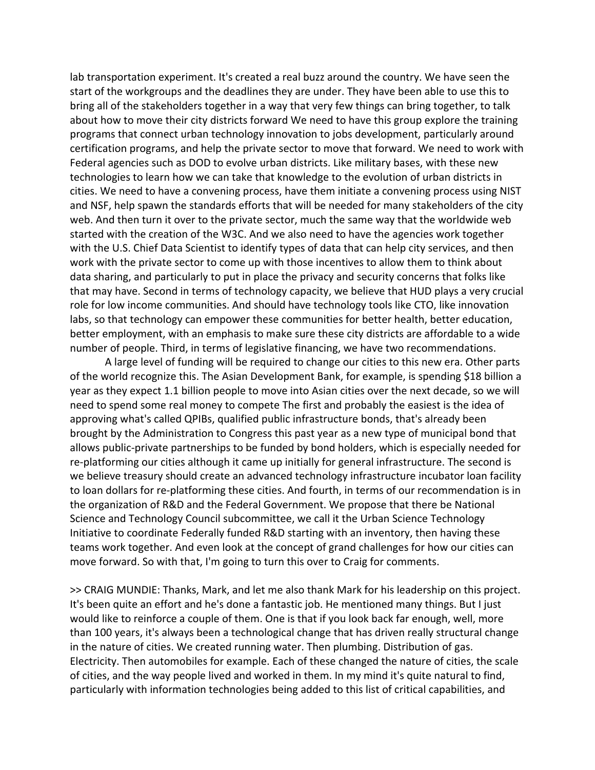lab transportation experiment. It's created a real buzz around the country. We have seen the start of the workgroups and the deadlines they are under. They have been able to use this to bring all of the stakeholders together in a way that very few things can bring together, to talk about how to move their city districts forward We need to have this group explore the training programs that connect urban technology innovation to jobs development, particularly around certification programs, and help the private sector to move that forward. We need to work with Federal agencies such as DOD to evolve urban districts. Like military bases, with these new technologies to learn how we can take that knowledge to the evolution of urban districts in cities. We need to have a convening process, have them initiate a convening process using NIST and NSF, help spawn the standards efforts that will be needed for many stakeholders of the city web. And then turn it over to the private sector, much the same way that the worldwide web started with the creation of the W3C. And we also need to have the agencies work together with the U.S. Chief Data Scientist to identify types of data that can help city services, and then work with the private sector to come up with those incentives to allow them to think about data sharing, and particularly to put in place the privacy and security concerns that folks like that may have. Second in terms of technology capacity, we believe that HUD plays a very crucial role for low income communities. And should have technology tools like CTO, like innovation labs, so that technology can empower these communities for better health, better education, better employment, with an emphasis to make sure these city districts are affordable to a wide number of people. Third, in terms of legislative financing, we have two recommendations.

A large level of funding will be required to change our cities to this new era. Other parts of the world recognize this. The Asian Development Bank, for example, is spending \$18 billion a year as they expect 1.1 billion people to move into Asian cities over the next decade, so we will need to spend some real money to compete The first and probably the easiest is the idea of approving what's called QPIBs, qualified public infrastructure bonds, that's already been brought by the Administration to Congress this past year as a new type of municipal bond that allows public‐private partnerships to be funded by bond holders, which is especially needed for re-platforming our cities although it came up initially for general infrastructure. The second is we believe treasury should create an advanced technology infrastructure incubator loan facility to loan dollars for re‐platforming these cities. And fourth, in terms of our recommendation is in the organization of R&D and the Federal Government. We propose that there be National Science and Technology Council subcommittee, we call it the Urban Science Technology Initiative to coordinate Federally funded R&D starting with an inventory, then having these teams work together. And even look at the concept of grand challenges for how our cities can move forward. So with that, I'm going to turn this over to Craig for comments.

>> CRAIG MUNDIE: Thanks, Mark, and let me also thank Mark for his leadership on this project. It's been quite an effort and he's done a fantastic job. He mentioned many things. But I just would like to reinforce a couple of them. One is that if you look back far enough, well, more than 100 years, it's always been a technological change that has driven really structural change in the nature of cities. We created running water. Then plumbing. Distribution of gas. Electricity. Then automobiles for example. Each of these changed the nature of cities, the scale of cities, and the way people lived and worked in them. In my mind it's quite natural to find, particularly with information technologies being added to this list of critical capabilities, and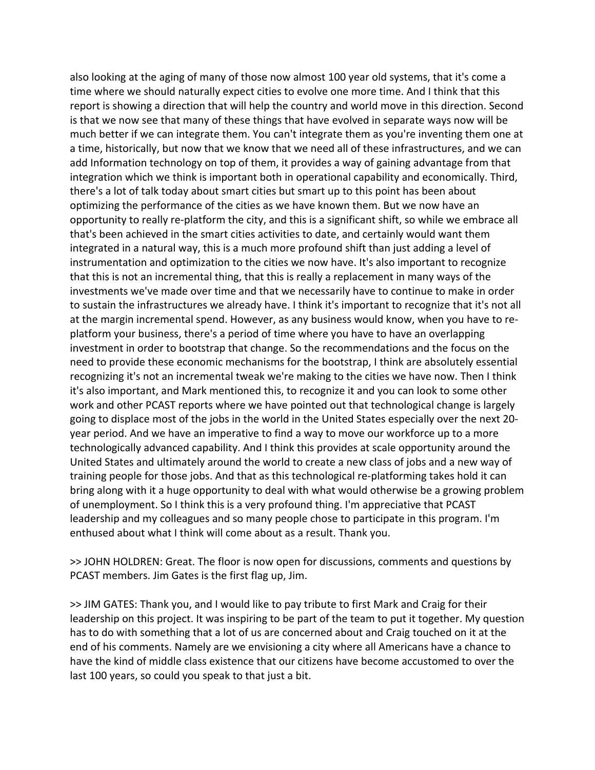also looking at the aging of many of those now almost 100 year old systems, that it's come a time where we should naturally expect cities to evolve one more time. And I think that this report is showing a direction that will help the country and world move in this direction. Second is that we now see that many of these things that have evolved in separate ways now will be much better if we can integrate them. You can't integrate them as you're inventing them one at a time, historically, but now that we know that we need all of these infrastructures, and we can add Information technology on top of them, it provides a way of gaining advantage from that integration which we think is important both in operational capability and economically. Third, there's a lot of talk today about smart cities but smart up to this point has been about optimizing the performance of the cities as we have known them. But we now have an opportunity to really re‐platform the city, and this is a significant shift, so while we embrace all that's been achieved in the smart cities activities to date, and certainly would want them integrated in a natural way, this is a much more profound shift than just adding a level of instrumentation and optimization to the cities we now have. It's also important to recognize that this is not an incremental thing, that this is really a replacement in many ways of the investments we've made over time and that we necessarily have to continue to make in order to sustain the infrastructures we already have. I think it's important to recognize that it's not all at the margin incremental spend. However, as any business would know, when you have to re‐ platform your business, there's a period of time where you have to have an overlapping investment in order to bootstrap that change. So the recommendations and the focus on the need to provide these economic mechanisms for the bootstrap, I think are absolutely essential recognizing it's not an incremental tweak we're making to the cities we have now. Then I think it's also important, and Mark mentioned this, to recognize it and you can look to some other work and other PCAST reports where we have pointed out that technological change is largely going to displace most of the jobs in the world in the United States especially over the next 20‐ year period. And we have an imperative to find a way to move our workforce up to a more technologically advanced capability. And I think this provides at scale opportunity around the United States and ultimately around the world to create a new class of jobs and a new way of training people for those jobs. And that as this technological re‐platforming takes hold it can bring along with it a huge opportunity to deal with what would otherwise be a growing problem of unemployment. So I think this is a very profound thing. I'm appreciative that PCAST leadership and my colleagues and so many people chose to participate in this program. I'm enthused about what I think will come about as a result. Thank you.

>> JOHN HOLDREN: Great. The floor is now open for discussions, comments and questions by PCAST members. Jim Gates is the first flag up, Jim.

>> JIM GATES: Thank you, and I would like to pay tribute to first Mark and Craig for their leadership on this project. It was inspiring to be part of the team to put it together. My question has to do with something that a lot of us are concerned about and Craig touched on it at the end of his comments. Namely are we envisioning a city where all Americans have a chance to have the kind of middle class existence that our citizens have become accustomed to over the last 100 years, so could you speak to that just a bit.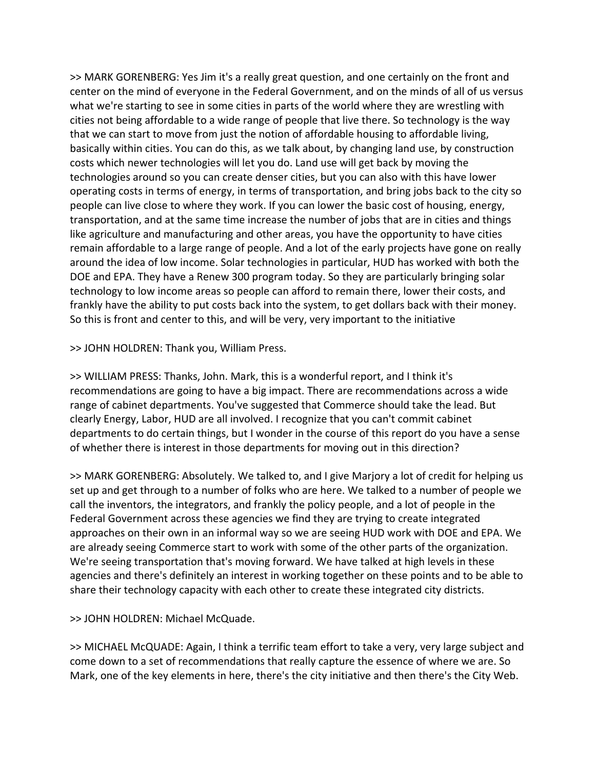>> MARK GORENBERG: Yes Jim it's a really great question, and one certainly on the front and center on the mind of everyone in the Federal Government, and on the minds of all of us versus what we're starting to see in some cities in parts of the world where they are wrestling with cities not being affordable to a wide range of people that live there. So technology is the way that we can start to move from just the notion of affordable housing to affordable living, basically within cities. You can do this, as we talk about, by changing land use, by construction costs which newer technologies will let you do. Land use will get back by moving the technologies around so you can create denser cities, but you can also with this have lower operating costs in terms of energy, in terms of transportation, and bring jobs back to the city so people can live close to where they work. If you can lower the basic cost of housing, energy, transportation, and at the same time increase the number of jobs that are in cities and things like agriculture and manufacturing and other areas, you have the opportunity to have cities remain affordable to a large range of people. And a lot of the early projects have gone on really around the idea of low income. Solar technologies in particular, HUD has worked with both the DOE and EPA. They have a Renew 300 program today. So they are particularly bringing solar technology to low income areas so people can afford to remain there, lower their costs, and frankly have the ability to put costs back into the system, to get dollars back with their money. So this is front and center to this, and will be very, very important to the initiative

>> JOHN HOLDREN: Thank you, William Press.

>> WILLIAM PRESS: Thanks, John. Mark, this is a wonderful report, and I think it's recommendations are going to have a big impact. There are recommendations across a wide range of cabinet departments. You've suggested that Commerce should take the lead. But clearly Energy, Labor, HUD are all involved. I recognize that you can't commit cabinet departments to do certain things, but I wonder in the course of this report do you have a sense of whether there is interest in those departments for moving out in this direction?

>> MARK GORENBERG: Absolutely. We talked to, and I give Marjory a lot of credit for helping us set up and get through to a number of folks who are here. We talked to a number of people we call the inventors, the integrators, and frankly the policy people, and a lot of people in the Federal Government across these agencies we find they are trying to create integrated approaches on their own in an informal way so we are seeing HUD work with DOE and EPA. We are already seeing Commerce start to work with some of the other parts of the organization. We're seeing transportation that's moving forward. We have talked at high levels in these agencies and there's definitely an interest in working together on these points and to be able to share their technology capacity with each other to create these integrated city districts.

>> JOHN HOLDREN: Michael McQuade.

>> MICHAEL McQUADE: Again, I think a terrific team effort to take a very, very large subject and come down to a set of recommendations that really capture the essence of where we are. So Mark, one of the key elements in here, there's the city initiative and then there's the City Web.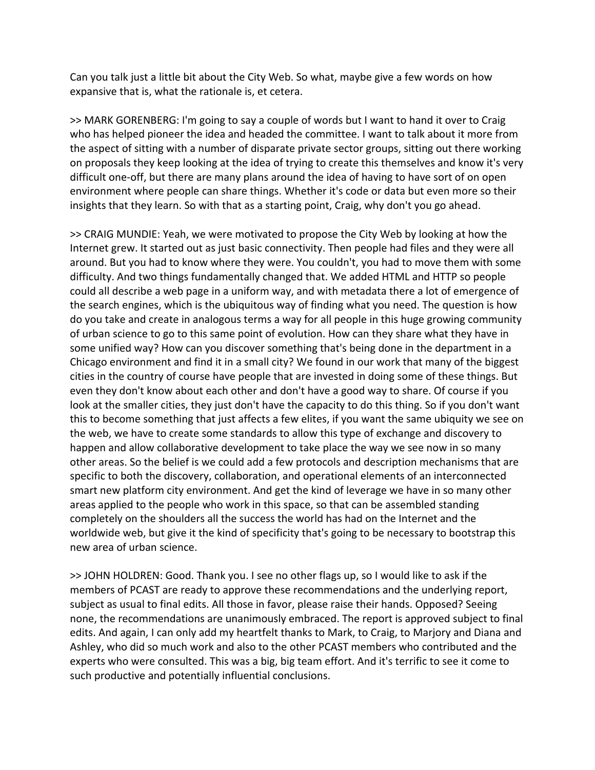Can you talk just a little bit about the City Web. So what, maybe give a few words on how expansive that is, what the rationale is, et cetera.

>> MARK GORENBERG: I'm going to say a couple of words but I want to hand it over to Craig who has helped pioneer the idea and headed the committee. I want to talk about it more from the aspect of sitting with a number of disparate private sector groups, sitting out there working on proposals they keep looking at the idea of trying to create this themselves and know it's very difficult one‐off, but there are many plans around the idea of having to have sort of on open environment where people can share things. Whether it's code or data but even more so their insights that they learn. So with that as a starting point, Craig, why don't you go ahead.

>> CRAIG MUNDIE: Yeah, we were motivated to propose the City Web by looking at how the Internet grew. It started out as just basic connectivity. Then people had files and they were all around. But you had to know where they were. You couldn't, you had to move them with some difficulty. And two things fundamentally changed that. We added HTML and HTTP so people could all describe a web page in a uniform way, and with metadata there a lot of emergence of the search engines, which is the ubiquitous way of finding what you need. The question is how do you take and create in analogous terms a way for all people in this huge growing community of urban science to go to this same point of evolution. How can they share what they have in some unified way? How can you discover something that's being done in the department in a Chicago environment and find it in a small city? We found in our work that many of the biggest cities in the country of course have people that are invested in doing some of these things. But even they don't know about each other and don't have a good way to share. Of course if you look at the smaller cities, they just don't have the capacity to do this thing. So if you don't want this to become something that just affects a few elites, if you want the same ubiquity we see on the web, we have to create some standards to allow this type of exchange and discovery to happen and allow collaborative development to take place the way we see now in so many other areas. So the belief is we could add a few protocols and description mechanisms that are specific to both the discovery, collaboration, and operational elements of an interconnected smart new platform city environment. And get the kind of leverage we have in so many other areas applied to the people who work in this space, so that can be assembled standing completely on the shoulders all the success the world has had on the Internet and the worldwide web, but give it the kind of specificity that's going to be necessary to bootstrap this new area of urban science.

>> JOHN HOLDREN: Good. Thank you. I see no other flags up, so I would like to ask if the members of PCAST are ready to approve these recommendations and the underlying report, subject as usual to final edits. All those in favor, please raise their hands. Opposed? Seeing none, the recommendations are unanimously embraced. The report is approved subject to final edits. And again, I can only add my heartfelt thanks to Mark, to Craig, to Marjory and Diana and Ashley, who did so much work and also to the other PCAST members who contributed and the experts who were consulted. This was a big, big team effort. And it's terrific to see it come to such productive and potentially influential conclusions.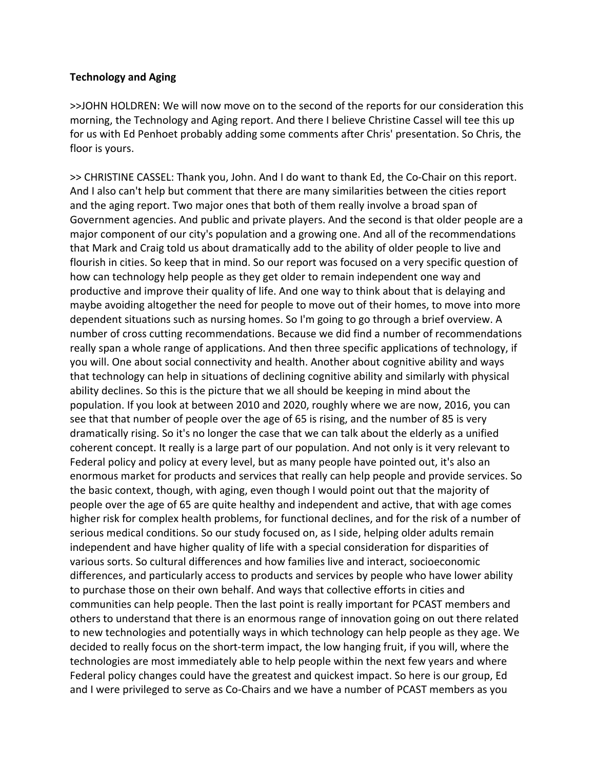#### **Technology and Aging**

>>JOHN HOLDREN: We will now move on to the second of the reports for our consideration this morning, the Technology and Aging report. And there I believe Christine Cassel will tee this up for us with Ed Penhoet probably adding some comments after Chris' presentation. So Chris, the floor is yours.

>> CHRISTINE CASSEL: Thank you, John. And I do want to thank Ed, the Co‐Chair on this report. And I also can't help but comment that there are many similarities between the cities report and the aging report. Two major ones that both of them really involve a broad span of Government agencies. And public and private players. And the second is that older people are a major component of our city's population and a growing one. And all of the recommendations that Mark and Craig told us about dramatically add to the ability of older people to live and flourish in cities. So keep that in mind. So our report was focused on a very specific question of how can technology help people as they get older to remain independent one way and productive and improve their quality of life. And one way to think about that is delaying and maybe avoiding altogether the need for people to move out of their homes, to move into more dependent situations such as nursing homes. So I'm going to go through a brief overview. A number of cross cutting recommendations. Because we did find a number of recommendations really span a whole range of applications. And then three specific applications of technology, if you will. One about social connectivity and health. Another about cognitive ability and ways that technology can help in situations of declining cognitive ability and similarly with physical ability declines. So this is the picture that we all should be keeping in mind about the population. If you look at between 2010 and 2020, roughly where we are now, 2016, you can see that that number of people over the age of 65 is rising, and the number of 85 is very dramatically rising. So it's no longer the case that we can talk about the elderly as a unified coherent concept. It really is a large part of our population. And not only is it very relevant to Federal policy and policy at every level, but as many people have pointed out, it's also an enormous market for products and services that really can help people and provide services. So the basic context, though, with aging, even though I would point out that the majority of people over the age of 65 are quite healthy and independent and active, that with age comes higher risk for complex health problems, for functional declines, and for the risk of a number of serious medical conditions. So our study focused on, as I side, helping older adults remain independent and have higher quality of life with a special consideration for disparities of various sorts. So cultural differences and how families live and interact, socioeconomic differences, and particularly access to products and services by people who have lower ability to purchase those on their own behalf. And ways that collective efforts in cities and communities can help people. Then the last point is really important for PCAST members and others to understand that there is an enormous range of innovation going on out there related to new technologies and potentially ways in which technology can help people as they age. We decided to really focus on the short‐term impact, the low hanging fruit, if you will, where the technologies are most immediately able to help people within the next few years and where Federal policy changes could have the greatest and quickest impact. So here is our group, Ed and I were privileged to serve as Co-Chairs and we have a number of PCAST members as you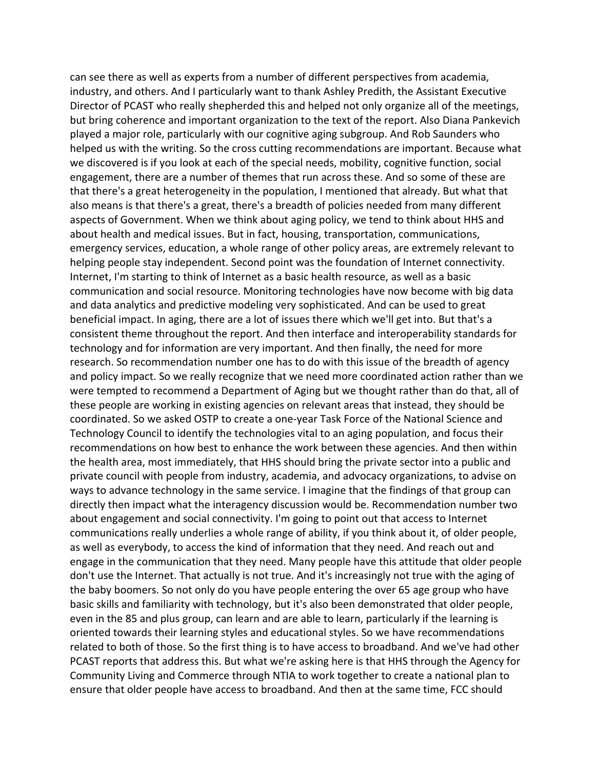can see there as well as experts from a number of different perspectives from academia, industry, and others. And I particularly want to thank Ashley Predith, the Assistant Executive Director of PCAST who really shepherded this and helped not only organize all of the meetings, but bring coherence and important organization to the text of the report. Also Diana Pankevich played a major role, particularly with our cognitive aging subgroup. And Rob Saunders who helped us with the writing. So the cross cutting recommendations are important. Because what we discovered is if you look at each of the special needs, mobility, cognitive function, social engagement, there are a number of themes that run across these. And so some of these are that there's a great heterogeneity in the population, I mentioned that already. But what that also means is that there's a great, there's a breadth of policies needed from many different aspects of Government. When we think about aging policy, we tend to think about HHS and about health and medical issues. But in fact, housing, transportation, communications, emergency services, education, a whole range of other policy areas, are extremely relevant to helping people stay independent. Second point was the foundation of Internet connectivity. Internet, I'm starting to think of Internet as a basic health resource, as well as a basic communication and social resource. Monitoring technologies have now become with big data and data analytics and predictive modeling very sophisticated. And can be used to great beneficial impact. In aging, there are a lot of issues there which we'll get into. But that's a consistent theme throughout the report. And then interface and interoperability standards for technology and for information are very important. And then finally, the need for more research. So recommendation number one has to do with this issue of the breadth of agency and policy impact. So we really recognize that we need more coordinated action rather than we were tempted to recommend a Department of Aging but we thought rather than do that, all of these people are working in existing agencies on relevant areas that instead, they should be coordinated. So we asked OSTP to create a one‐year Task Force of the National Science and Technology Council to identify the technologies vital to an aging population, and focus their recommendations on how best to enhance the work between these agencies. And then within the health area, most immediately, that HHS should bring the private sector into a public and private council with people from industry, academia, and advocacy organizations, to advise on ways to advance technology in the same service. I imagine that the findings of that group can directly then impact what the interagency discussion would be. Recommendation number two about engagement and social connectivity. I'm going to point out that access to Internet communications really underlies a whole range of ability, if you think about it, of older people, as well as everybody, to access the kind of information that they need. And reach out and engage in the communication that they need. Many people have this attitude that older people don't use the Internet. That actually is not true. And it's increasingly not true with the aging of the baby boomers. So not only do you have people entering the over 65 age group who have basic skills and familiarity with technology, but it's also been demonstrated that older people, even in the 85 and plus group, can learn and are able to learn, particularly if the learning is oriented towards their learning styles and educational styles. So we have recommendations related to both of those. So the first thing is to have access to broadband. And we've had other PCAST reports that address this. But what we're asking here is that HHS through the Agency for Community Living and Commerce through NTIA to work together to create a national plan to ensure that older people have access to broadband. And then at the same time, FCC should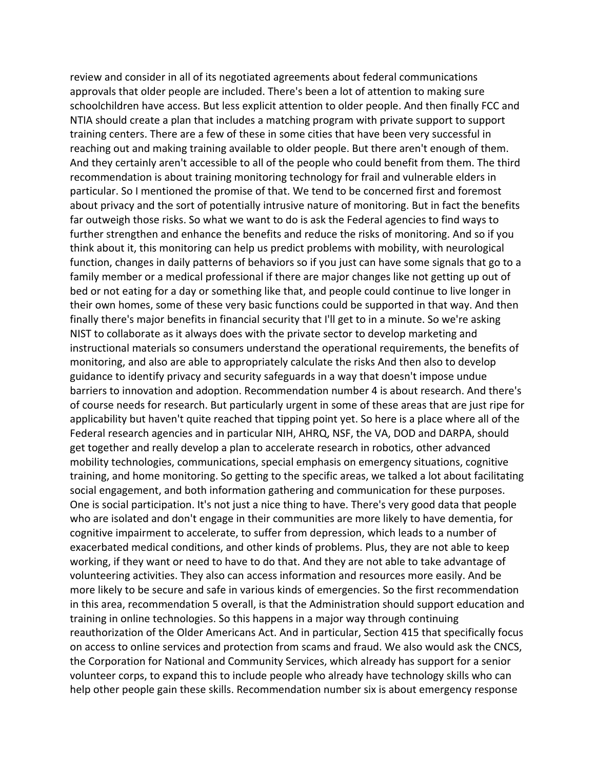review and consider in all of its negotiated agreements about federal communications approvals that older people are included. There's been a lot of attention to making sure schoolchildren have access. But less explicit attention to older people. And then finally FCC and NTIA should create a plan that includes a matching program with private support to support training centers. There are a few of these in some cities that have been very successful in reaching out and making training available to older people. But there aren't enough of them. And they certainly aren't accessible to all of the people who could benefit from them. The third recommendation is about training monitoring technology for frail and vulnerable elders in particular. So I mentioned the promise of that. We tend to be concerned first and foremost about privacy and the sort of potentially intrusive nature of monitoring. But in fact the benefits far outweigh those risks. So what we want to do is ask the Federal agencies to find ways to further strengthen and enhance the benefits and reduce the risks of monitoring. And so if you think about it, this monitoring can help us predict problems with mobility, with neurological function, changes in daily patterns of behaviors so if you just can have some signals that go to a family member or a medical professional if there are major changes like not getting up out of bed or not eating for a day or something like that, and people could continue to live longer in their own homes, some of these very basic functions could be supported in that way. And then finally there's major benefits in financial security that I'll get to in a minute. So we're asking NIST to collaborate as it always does with the private sector to develop marketing and instructional materials so consumers understand the operational requirements, the benefits of monitoring, and also are able to appropriately calculate the risks And then also to develop guidance to identify privacy and security safeguards in a way that doesn't impose undue barriers to innovation and adoption. Recommendation number 4 is about research. And there's of course needs for research. But particularly urgent in some of these areas that are just ripe for applicability but haven't quite reached that tipping point yet. So here is a place where all of the Federal research agencies and in particular NIH, AHRQ, NSF, the VA, DOD and DARPA, should get together and really develop a plan to accelerate research in robotics, other advanced mobility technologies, communications, special emphasis on emergency situations, cognitive training, and home monitoring. So getting to the specific areas, we talked a lot about facilitating social engagement, and both information gathering and communication for these purposes. One is social participation. It's not just a nice thing to have. There's very good data that people who are isolated and don't engage in their communities are more likely to have dementia, for cognitive impairment to accelerate, to suffer from depression, which leads to a number of exacerbated medical conditions, and other kinds of problems. Plus, they are not able to keep working, if they want or need to have to do that. And they are not able to take advantage of volunteering activities. They also can access information and resources more easily. And be more likely to be secure and safe in various kinds of emergencies. So the first recommendation in this area, recommendation 5 overall, is that the Administration should support education and training in online technologies. So this happens in a major way through continuing reauthorization of the Older Americans Act. And in particular, Section 415 that specifically focus on access to online services and protection from scams and fraud. We also would ask the CNCS, the Corporation for National and Community Services, which already has support for a senior volunteer corps, to expand this to include people who already have technology skills who can help other people gain these skills. Recommendation number six is about emergency response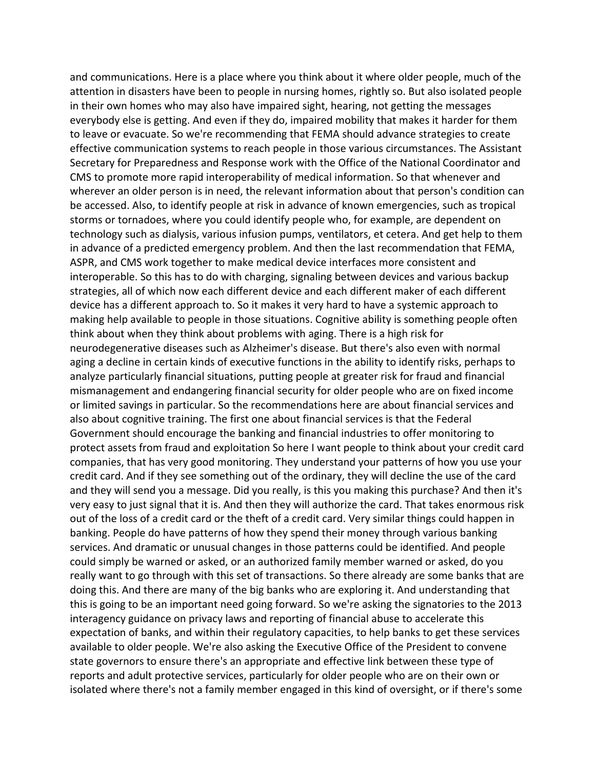and communications. Here is a place where you think about it where older people, much of the attention in disasters have been to people in nursing homes, rightly so. But also isolated people in their own homes who may also have impaired sight, hearing, not getting the messages everybody else is getting. And even if they do, impaired mobility that makes it harder for them to leave or evacuate. So we're recommending that FEMA should advance strategies to create effective communication systems to reach people in those various circumstances. The Assistant Secretary for Preparedness and Response work with the Office of the National Coordinator and CMS to promote more rapid interoperability of medical information. So that whenever and wherever an older person is in need, the relevant information about that person's condition can be accessed. Also, to identify people at risk in advance of known emergencies, such as tropical storms or tornadoes, where you could identify people who, for example, are dependent on technology such as dialysis, various infusion pumps, ventilators, et cetera. And get help to them in advance of a predicted emergency problem. And then the last recommendation that FEMA, ASPR, and CMS work together to make medical device interfaces more consistent and interoperable. So this has to do with charging, signaling between devices and various backup strategies, all of which now each different device and each different maker of each different device has a different approach to. So it makes it very hard to have a systemic approach to making help available to people in those situations. Cognitive ability is something people often think about when they think about problems with aging. There is a high risk for neurodegenerative diseases such as Alzheimer's disease. But there's also even with normal aging a decline in certain kinds of executive functions in the ability to identify risks, perhaps to analyze particularly financial situations, putting people at greater risk for fraud and financial mismanagement and endangering financial security for older people who are on fixed income or limited savings in particular. So the recommendations here are about financial services and also about cognitive training. The first one about financial services is that the Federal Government should encourage the banking and financial industries to offer monitoring to protect assets from fraud and exploitation So here I want people to think about your credit card companies, that has very good monitoring. They understand your patterns of how you use your credit card. And if they see something out of the ordinary, they will decline the use of the card and they will send you a message. Did you really, is this you making this purchase? And then it's very easy to just signal that it is. And then they will authorize the card. That takes enormous risk out of the loss of a credit card or the theft of a credit card. Very similar things could happen in banking. People do have patterns of how they spend their money through various banking services. And dramatic or unusual changes in those patterns could be identified. And people could simply be warned or asked, or an authorized family member warned or asked, do you really want to go through with this set of transactions. So there already are some banks that are doing this. And there are many of the big banks who are exploring it. And understanding that this is going to be an important need going forward. So we're asking the signatories to the 2013 interagency guidance on privacy laws and reporting of financial abuse to accelerate this expectation of banks, and within their regulatory capacities, to help banks to get these services available to older people. We're also asking the Executive Office of the President to convene state governors to ensure there's an appropriate and effective link between these type of reports and adult protective services, particularly for older people who are on their own or isolated where there's not a family member engaged in this kind of oversight, or if there's some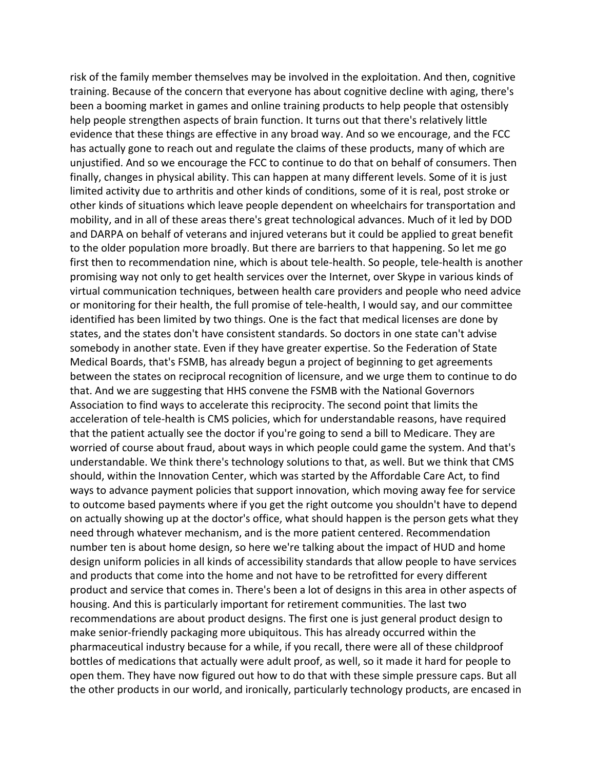risk of the family member themselves may be involved in the exploitation. And then, cognitive training. Because of the concern that everyone has about cognitive decline with aging, there's been a booming market in games and online training products to help people that ostensibly help people strengthen aspects of brain function. It turns out that there's relatively little evidence that these things are effective in any broad way. And so we encourage, and the FCC has actually gone to reach out and regulate the claims of these products, many of which are unjustified. And so we encourage the FCC to continue to do that on behalf of consumers. Then finally, changes in physical ability. This can happen at many different levels. Some of it is just limited activity due to arthritis and other kinds of conditions, some of it is real, post stroke or other kinds of situations which leave people dependent on wheelchairs for transportation and mobility, and in all of these areas there's great technological advances. Much of it led by DOD and DARPA on behalf of veterans and injured veterans but it could be applied to great benefit to the older population more broadly. But there are barriers to that happening. So let me go first then to recommendation nine, which is about tele‐health. So people, tele‐health is another promising way not only to get health services over the Internet, over Skype in various kinds of virtual communication techniques, between health care providers and people who need advice or monitoring for their health, the full promise of tele-health, I would say, and our committee identified has been limited by two things. One is the fact that medical licenses are done by states, and the states don't have consistent standards. So doctors in one state can't advise somebody in another state. Even if they have greater expertise. So the Federation of State Medical Boards, that's FSMB, has already begun a project of beginning to get agreements between the states on reciprocal recognition of licensure, and we urge them to continue to do that. And we are suggesting that HHS convene the FSMB with the National Governors Association to find ways to accelerate this reciprocity. The second point that limits the acceleration of tele‐health is CMS policies, which for understandable reasons, have required that the patient actually see the doctor if you're going to send a bill to Medicare. They are worried of course about fraud, about ways in which people could game the system. And that's understandable. We think there's technology solutions to that, as well. But we think that CMS should, within the Innovation Center, which was started by the Affordable Care Act, to find ways to advance payment policies that support innovation, which moving away fee for service to outcome based payments where if you get the right outcome you shouldn't have to depend on actually showing up at the doctor's office, what should happen is the person gets what they need through whatever mechanism, and is the more patient centered. Recommendation number ten is about home design, so here we're talking about the impact of HUD and home design uniform policies in all kinds of accessibility standards that allow people to have services and products that come into the home and not have to be retrofitted for every different product and service that comes in. There's been a lot of designs in this area in other aspects of housing. And this is particularly important for retirement communities. The last two recommendations are about product designs. The first one is just general product design to make senior‐friendly packaging more ubiquitous. This has already occurred within the pharmaceutical industry because for a while, if you recall, there were all of these childproof bottles of medications that actually were adult proof, as well, so it made it hard for people to open them. They have now figured out how to do that with these simple pressure caps. But all the other products in our world, and ironically, particularly technology products, are encased in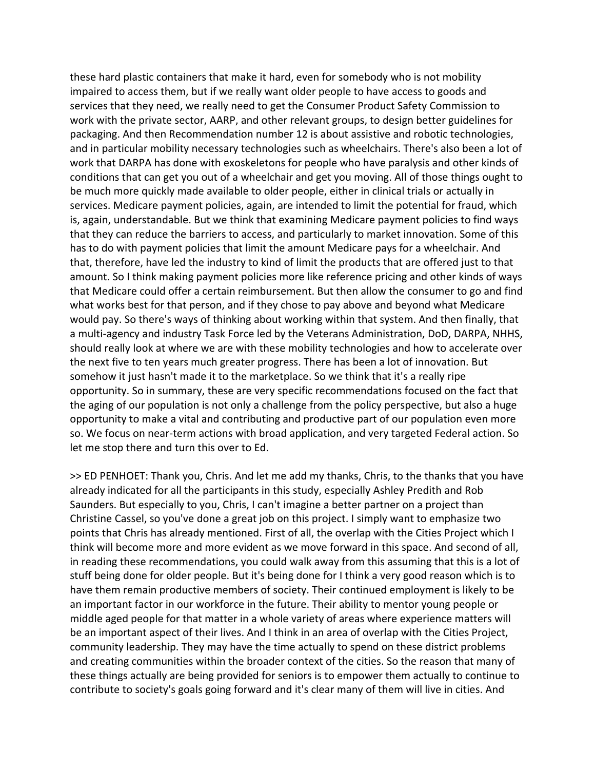these hard plastic containers that make it hard, even for somebody who is not mobility impaired to access them, but if we really want older people to have access to goods and services that they need, we really need to get the Consumer Product Safety Commission to work with the private sector, AARP, and other relevant groups, to design better guidelines for packaging. And then Recommendation number 12 is about assistive and robotic technologies, and in particular mobility necessary technologies such as wheelchairs. There's also been a lot of work that DARPA has done with exoskeletons for people who have paralysis and other kinds of conditions that can get you out of a wheelchair and get you moving. All of those things ought to be much more quickly made available to older people, either in clinical trials or actually in services. Medicare payment policies, again, are intended to limit the potential for fraud, which is, again, understandable. But we think that examining Medicare payment policies to find ways that they can reduce the barriers to access, and particularly to market innovation. Some of this has to do with payment policies that limit the amount Medicare pays for a wheelchair. And that, therefore, have led the industry to kind of limit the products that are offered just to that amount. So I think making payment policies more like reference pricing and other kinds of ways that Medicare could offer a certain reimbursement. But then allow the consumer to go and find what works best for that person, and if they chose to pay above and beyond what Medicare would pay. So there's ways of thinking about working within that system. And then finally, that a multi-agency and industry Task Force led by the Veterans Administration, DoD, DARPA, NHHS, should really look at where we are with these mobility technologies and how to accelerate over the next five to ten years much greater progress. There has been a lot of innovation. But somehow it just hasn't made it to the marketplace. So we think that it's a really ripe opportunity. So in summary, these are very specific recommendations focused on the fact that the aging of our population is not only a challenge from the policy perspective, but also a huge opportunity to make a vital and contributing and productive part of our population even more so. We focus on near-term actions with broad application, and very targeted Federal action. So let me stop there and turn this over to Ed.

>> ED PENHOET: Thank you, Chris. And let me add my thanks, Chris, to the thanks that you have already indicated for all the participants in this study, especially Ashley Predith and Rob Saunders. But especially to you, Chris, I can't imagine a better partner on a project than Christine Cassel, so you've done a great job on this project. I simply want to emphasize two points that Chris has already mentioned. First of all, the overlap with the Cities Project which I think will become more and more evident as we move forward in this space. And second of all, in reading these recommendations, you could walk away from this assuming that this is a lot of stuff being done for older people. But it's being done for I think a very good reason which is to have them remain productive members of society. Their continued employment is likely to be an important factor in our workforce in the future. Their ability to mentor young people or middle aged people for that matter in a whole variety of areas where experience matters will be an important aspect of their lives. And I think in an area of overlap with the Cities Project, community leadership. They may have the time actually to spend on these district problems and creating communities within the broader context of the cities. So the reason that many of these things actually are being provided for seniors is to empower them actually to continue to contribute to society's goals going forward and it's clear many of them will live in cities. And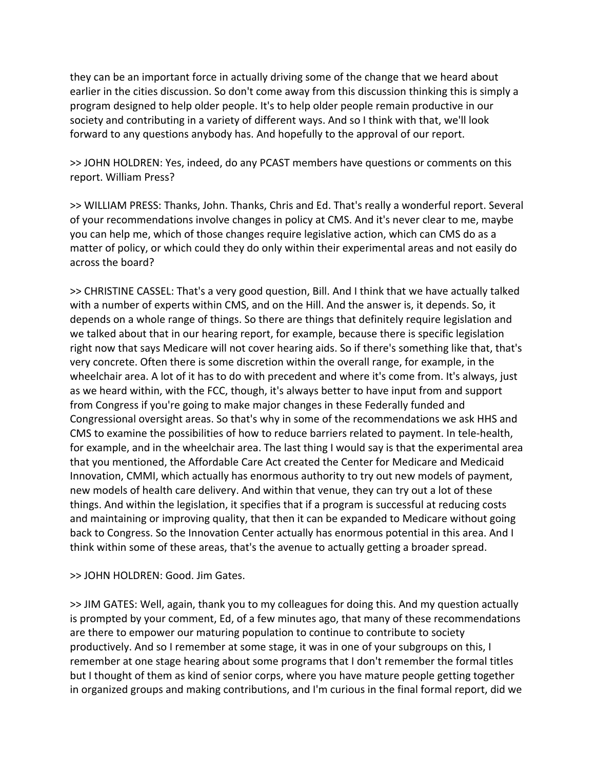they can be an important force in actually driving some of the change that we heard about earlier in the cities discussion. So don't come away from this discussion thinking this is simply a program designed to help older people. It's to help older people remain productive in our society and contributing in a variety of different ways. And so I think with that, we'll look forward to any questions anybody has. And hopefully to the approval of our report.

>> JOHN HOLDREN: Yes, indeed, do any PCAST members have questions or comments on this report. William Press?

>> WILLIAM PRESS: Thanks, John. Thanks, Chris and Ed. That's really a wonderful report. Several of your recommendations involve changes in policy at CMS. And it's never clear to me, maybe you can help me, which of those changes require legislative action, which can CMS do as a matter of policy, or which could they do only within their experimental areas and not easily do across the board?

>> CHRISTINE CASSEL: That's a very good question, Bill. And I think that we have actually talked with a number of experts within CMS, and on the Hill. And the answer is, it depends. So, it depends on a whole range of things. So there are things that definitely require legislation and we talked about that in our hearing report, for example, because there is specific legislation right now that says Medicare will not cover hearing aids. So if there's something like that, that's very concrete. Often there is some discretion within the overall range, for example, in the wheelchair area. A lot of it has to do with precedent and where it's come from. It's always, just as we heard within, with the FCC, though, it's always better to have input from and support from Congress if you're going to make major changes in these Federally funded and Congressional oversight areas. So that's why in some of the recommendations we ask HHS and CMS to examine the possibilities of how to reduce barriers related to payment. In tele‐health, for example, and in the wheelchair area. The last thing I would say is that the experimental area that you mentioned, the Affordable Care Act created the Center for Medicare and Medicaid Innovation, CMMI, which actually has enormous authority to try out new models of payment, new models of health care delivery. And within that venue, they can try out a lot of these things. And within the legislation, it specifies that if a program is successful at reducing costs and maintaining or improving quality, that then it can be expanded to Medicare without going back to Congress. So the Innovation Center actually has enormous potential in this area. And I think within some of these areas, that's the avenue to actually getting a broader spread.

## >> JOHN HOLDREN: Good. Jim Gates.

>> JIM GATES: Well, again, thank you to my colleagues for doing this. And my question actually is prompted by your comment, Ed, of a few minutes ago, that many of these recommendations are there to empower our maturing population to continue to contribute to society productively. And so I remember at some stage, it was in one of your subgroups on this, I remember at one stage hearing about some programs that I don't remember the formal titles but I thought of them as kind of senior corps, where you have mature people getting together in organized groups and making contributions, and I'm curious in the final formal report, did we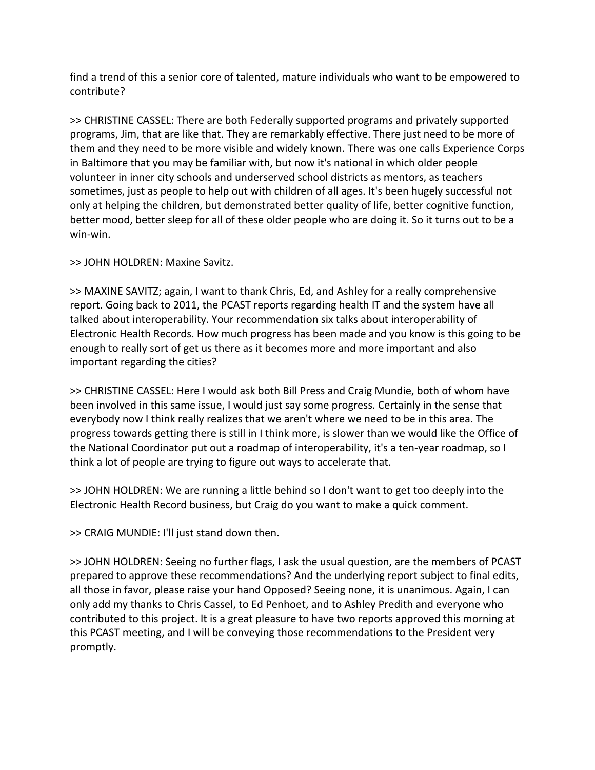find a trend of this a senior core of talented, mature individuals who want to be empowered to contribute?

>> CHRISTINE CASSEL: There are both Federally supported programs and privately supported programs, Jim, that are like that. They are remarkably effective. There just need to be more of them and they need to be more visible and widely known. There was one calls Experience Corps in Baltimore that you may be familiar with, but now it's national in which older people volunteer in inner city schools and underserved school districts as mentors, as teachers sometimes, just as people to help out with children of all ages. It's been hugely successful not only at helping the children, but demonstrated better quality of life, better cognitive function, better mood, better sleep for all of these older people who are doing it. So it turns out to be a win‐win.

>> JOHN HOLDREN: Maxine Savitz.

>> MAXINE SAVITZ; again, I want to thank Chris, Ed, and Ashley for a really comprehensive report. Going back to 2011, the PCAST reports regarding health IT and the system have all talked about interoperability. Your recommendation six talks about interoperability of Electronic Health Records. How much progress has been made and you know is this going to be enough to really sort of get us there as it becomes more and more important and also important regarding the cities?

>> CHRISTINE CASSEL: Here I would ask both Bill Press and Craig Mundie, both of whom have been involved in this same issue, I would just say some progress. Certainly in the sense that everybody now I think really realizes that we aren't where we need to be in this area. The progress towards getting there is still in I think more, is slower than we would like the Office of the National Coordinator put out a roadmap of interoperability, it's a ten‐year roadmap, so I think a lot of people are trying to figure out ways to accelerate that.

>> JOHN HOLDREN: We are running a little behind so I don't want to get too deeply into the Electronic Health Record business, but Craig do you want to make a quick comment.

>> CRAIG MUNDIE: I'll just stand down then.

>> JOHN HOLDREN: Seeing no further flags, I ask the usual question, are the members of PCAST prepared to approve these recommendations? And the underlying report subject to final edits, all those in favor, please raise your hand Opposed? Seeing none, it is unanimous. Again, I can only add my thanks to Chris Cassel, to Ed Penhoet, and to Ashley Predith and everyone who contributed to this project. It is a great pleasure to have two reports approved this morning at this PCAST meeting, and I will be conveying those recommendations to the President very promptly.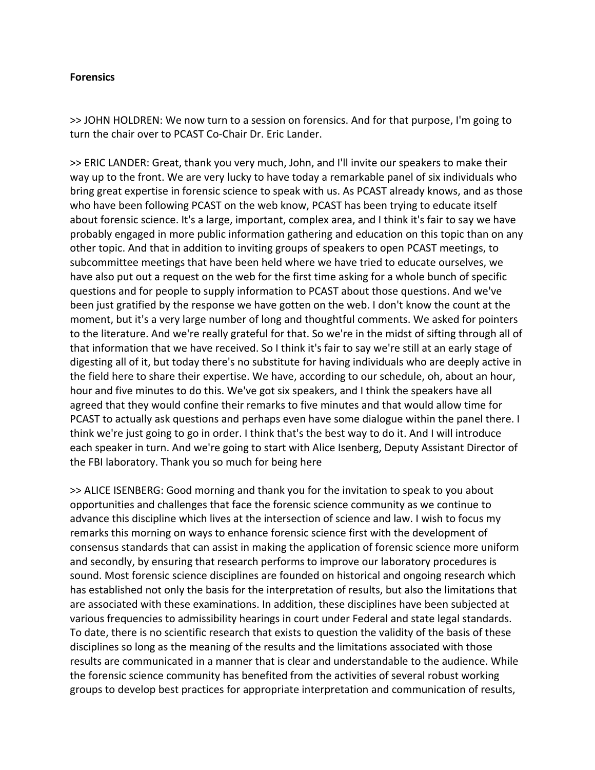#### **Forensics**

>> JOHN HOLDREN: We now turn to a session on forensics. And for that purpose, I'm going to turn the chair over to PCAST Co‐Chair Dr. Eric Lander.

>> ERIC LANDER: Great, thank you very much, John, and I'll invite our speakers to make their way up to the front. We are very lucky to have today a remarkable panel of six individuals who bring great expertise in forensic science to speak with us. As PCAST already knows, and as those who have been following PCAST on the web know, PCAST has been trying to educate itself about forensic science. It's a large, important, complex area, and I think it's fair to say we have probably engaged in more public information gathering and education on this topic than on any other topic. And that in addition to inviting groups of speakers to open PCAST meetings, to subcommittee meetings that have been held where we have tried to educate ourselves, we have also put out a request on the web for the first time asking for a whole bunch of specific questions and for people to supply information to PCAST about those questions. And we've been just gratified by the response we have gotten on the web. I don't know the count at the moment, but it's a very large number of long and thoughtful comments. We asked for pointers to the literature. And we're really grateful for that. So we're in the midst of sifting through all of that information that we have received. So I think it's fair to say we're still at an early stage of digesting all of it, but today there's no substitute for having individuals who are deeply active in the field here to share their expertise. We have, according to our schedule, oh, about an hour, hour and five minutes to do this. We've got six speakers, and I think the speakers have all agreed that they would confine their remarks to five minutes and that would allow time for PCAST to actually ask questions and perhaps even have some dialogue within the panel there. I think we're just going to go in order. I think that's the best way to do it. And I will introduce each speaker in turn. And we're going to start with Alice Isenberg, Deputy Assistant Director of the FBI laboratory. Thank you so much for being here

>> ALICE ISENBERG: Good morning and thank you for the invitation to speak to you about opportunities and challenges that face the forensic science community as we continue to advance this discipline which lives at the intersection of science and law. I wish to focus my remarks this morning on ways to enhance forensic science first with the development of consensus standards that can assist in making the application of forensic science more uniform and secondly, by ensuring that research performs to improve our laboratory procedures is sound. Most forensic science disciplines are founded on historical and ongoing research which has established not only the basis for the interpretation of results, but also the limitations that are associated with these examinations. In addition, these disciplines have been subjected at various frequencies to admissibility hearings in court under Federal and state legal standards. To date, there is no scientific research that exists to question the validity of the basis of these disciplines so long as the meaning of the results and the limitations associated with those results are communicated in a manner that is clear and understandable to the audience. While the forensic science community has benefited from the activities of several robust working groups to develop best practices for appropriate interpretation and communication of results,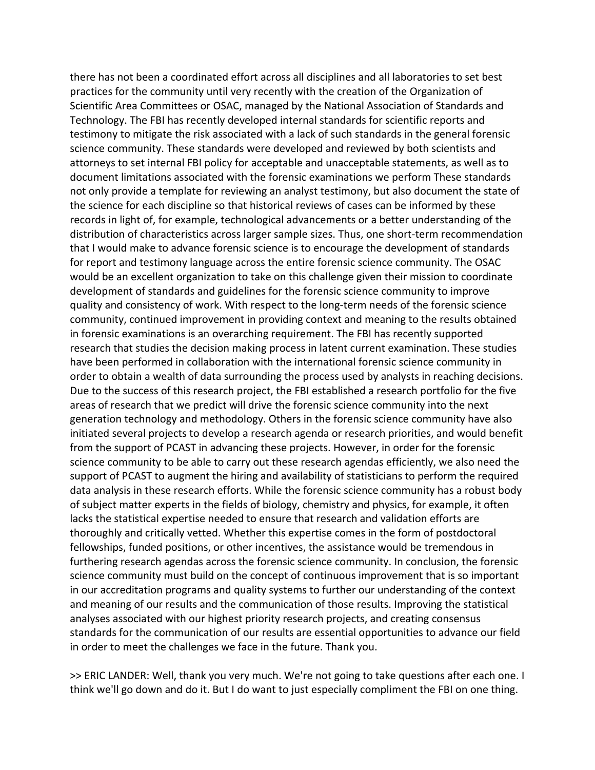there has not been a coordinated effort across all disciplines and all laboratories to set best practices for the community until very recently with the creation of the Organization of Scientific Area Committees or OSAC, managed by the National Association of Standards and Technology. The FBI has recently developed internal standards for scientific reports and testimony to mitigate the risk associated with a lack of such standards in the general forensic science community. These standards were developed and reviewed by both scientists and attorneys to set internal FBI policy for acceptable and unacceptable statements, as well as to document limitations associated with the forensic examinations we perform These standards not only provide a template for reviewing an analyst testimony, but also document the state of the science for each discipline so that historical reviews of cases can be informed by these records in light of, for example, technological advancements or a better understanding of the distribution of characteristics across larger sample sizes. Thus, one short‐term recommendation that I would make to advance forensic science is to encourage the development of standards for report and testimony language across the entire forensic science community. The OSAC would be an excellent organization to take on this challenge given their mission to coordinate development of standards and guidelines for the forensic science community to improve quality and consistency of work. With respect to the long‐term needs of the forensic science community, continued improvement in providing context and meaning to the results obtained in forensic examinations is an overarching requirement. The FBI has recently supported research that studies the decision making process in latent current examination. These studies have been performed in collaboration with the international forensic science community in order to obtain a wealth of data surrounding the process used by analysts in reaching decisions. Due to the success of this research project, the FBI established a research portfolio for the five areas of research that we predict will drive the forensic science community into the next generation technology and methodology. Others in the forensic science community have also initiated several projects to develop a research agenda or research priorities, and would benefit from the support of PCAST in advancing these projects. However, in order for the forensic science community to be able to carry out these research agendas efficiently, we also need the support of PCAST to augment the hiring and availability of statisticians to perform the required data analysis in these research efforts. While the forensic science community has a robust body of subject matter experts in the fields of biology, chemistry and physics, for example, it often lacks the statistical expertise needed to ensure that research and validation efforts are thoroughly and critically vetted. Whether this expertise comes in the form of postdoctoral fellowships, funded positions, or other incentives, the assistance would be tremendous in furthering research agendas across the forensic science community. In conclusion, the forensic science community must build on the concept of continuous improvement that is so important in our accreditation programs and quality systems to further our understanding of the context and meaning of our results and the communication of those results. Improving the statistical analyses associated with our highest priority research projects, and creating consensus standards for the communication of our results are essential opportunities to advance our field in order to meet the challenges we face in the future. Thank you.

>> ERIC LANDER: Well, thank you very much. We're not going to take questions after each one. I think we'll go down and do it. But I do want to just especially compliment the FBI on one thing.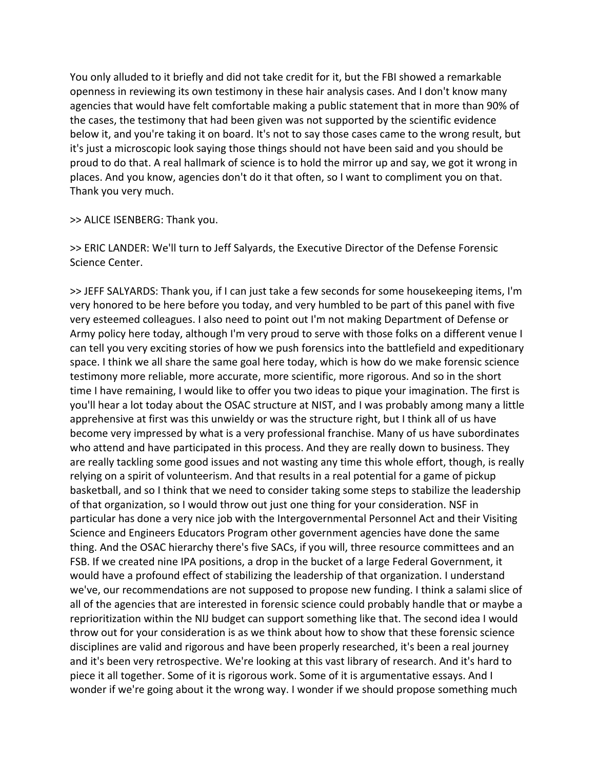You only alluded to it briefly and did not take credit for it, but the FBI showed a remarkable openness in reviewing its own testimony in these hair analysis cases. And I don't know many agencies that would have felt comfortable making a public statement that in more than 90% of the cases, the testimony that had been given was not supported by the scientific evidence below it, and you're taking it on board. It's not to say those cases came to the wrong result, but it's just a microscopic look saying those things should not have been said and you should be proud to do that. A real hallmark of science is to hold the mirror up and say, we got it wrong in places. And you know, agencies don't do it that often, so I want to compliment you on that. Thank you very much.

>> ALICE ISENBERG: Thank you.

>> ERIC LANDER: We'll turn to Jeff Salyards, the Executive Director of the Defense Forensic Science Center.

>> JEFF SALYARDS: Thank you, if I can just take a few seconds for some housekeeping items, I'm very honored to be here before you today, and very humbled to be part of this panel with five very esteemed colleagues. I also need to point out I'm not making Department of Defense or Army policy here today, although I'm very proud to serve with those folks on a different venue I can tell you very exciting stories of how we push forensics into the battlefield and expeditionary space. I think we all share the same goal here today, which is how do we make forensic science testimony more reliable, more accurate, more scientific, more rigorous. And so in the short time I have remaining, I would like to offer you two ideas to pique your imagination. The first is you'll hear a lot today about the OSAC structure at NIST, and I was probably among many a little apprehensive at first was this unwieldy or was the structure right, but I think all of us have become very impressed by what is a very professional franchise. Many of us have subordinates who attend and have participated in this process. And they are really down to business. They are really tackling some good issues and not wasting any time this whole effort, though, is really relying on a spirit of volunteerism. And that results in a real potential for a game of pickup basketball, and so I think that we need to consider taking some steps to stabilize the leadership of that organization, so I would throw out just one thing for your consideration. NSF in particular has done a very nice job with the Intergovernmental Personnel Act and their Visiting Science and Engineers Educators Program other government agencies have done the same thing. And the OSAC hierarchy there's five SACs, if you will, three resource committees and an FSB. If we created nine IPA positions, a drop in the bucket of a large Federal Government, it would have a profound effect of stabilizing the leadership of that organization. I understand we've, our recommendations are not supposed to propose new funding. I think a salami slice of all of the agencies that are interested in forensic science could probably handle that or maybe a reprioritization within the NIJ budget can support something like that. The second idea I would throw out for your consideration is as we think about how to show that these forensic science disciplines are valid and rigorous and have been properly researched, it's been a real journey and it's been very retrospective. We're looking at this vast library of research. And it's hard to piece it all together. Some of it is rigorous work. Some of it is argumentative essays. And I wonder if we're going about it the wrong way. I wonder if we should propose something much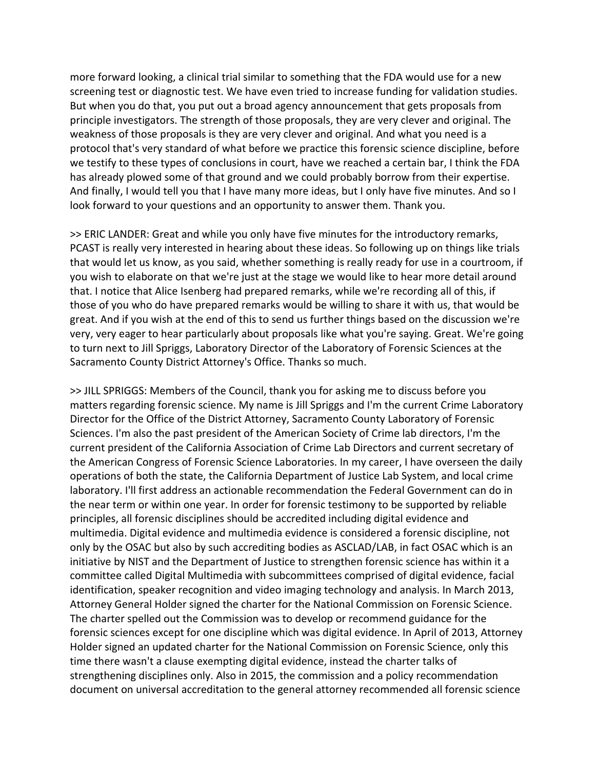more forward looking, a clinical trial similar to something that the FDA would use for a new screening test or diagnostic test. We have even tried to increase funding for validation studies. But when you do that, you put out a broad agency announcement that gets proposals from principle investigators. The strength of those proposals, they are very clever and original. The weakness of those proposals is they are very clever and original. And what you need is a protocol that's very standard of what before we practice this forensic science discipline, before we testify to these types of conclusions in court, have we reached a certain bar, I think the FDA has already plowed some of that ground and we could probably borrow from their expertise. And finally, I would tell you that I have many more ideas, but I only have five minutes. And so I look forward to your questions and an opportunity to answer them. Thank you.

>> ERIC LANDER: Great and while you only have five minutes for the introductory remarks, PCAST is really very interested in hearing about these ideas. So following up on things like trials that would let us know, as you said, whether something is really ready for use in a courtroom, if you wish to elaborate on that we're just at the stage we would like to hear more detail around that. I notice that Alice Isenberg had prepared remarks, while we're recording all of this, if those of you who do have prepared remarks would be willing to share it with us, that would be great. And if you wish at the end of this to send us further things based on the discussion we're very, very eager to hear particularly about proposals like what you're saying. Great. We're going to turn next to Jill Spriggs, Laboratory Director of the Laboratory of Forensic Sciences at the Sacramento County District Attorney's Office. Thanks so much.

>> JILL SPRIGGS: Members of the Council, thank you for asking me to discuss before you matters regarding forensic science. My name is Jill Spriggs and I'm the current Crime Laboratory Director for the Office of the District Attorney, Sacramento County Laboratory of Forensic Sciences. I'm also the past president of the American Society of Crime lab directors, I'm the current president of the California Association of Crime Lab Directors and current secretary of the American Congress of Forensic Science Laboratories. In my career, I have overseen the daily operations of both the state, the California Department of Justice Lab System, and local crime laboratory. I'll first address an actionable recommendation the Federal Government can do in the near term or within one year. In order for forensic testimony to be supported by reliable principles, all forensic disciplines should be accredited including digital evidence and multimedia. Digital evidence and multimedia evidence is considered a forensic discipline, not only by the OSAC but also by such accrediting bodies as ASCLAD/LAB, in fact OSAC which is an initiative by NIST and the Department of Justice to strengthen forensic science has within it a committee called Digital Multimedia with subcommittees comprised of digital evidence, facial identification, speaker recognition and video imaging technology and analysis. In March 2013, Attorney General Holder signed the charter for the National Commission on Forensic Science. The charter spelled out the Commission was to develop or recommend guidance for the forensic sciences except for one discipline which was digital evidence. In April of 2013, Attorney Holder signed an updated charter for the National Commission on Forensic Science, only this time there wasn't a clause exempting digital evidence, instead the charter talks of strengthening disciplines only. Also in 2015, the commission and a policy recommendation document on universal accreditation to the general attorney recommended all forensic science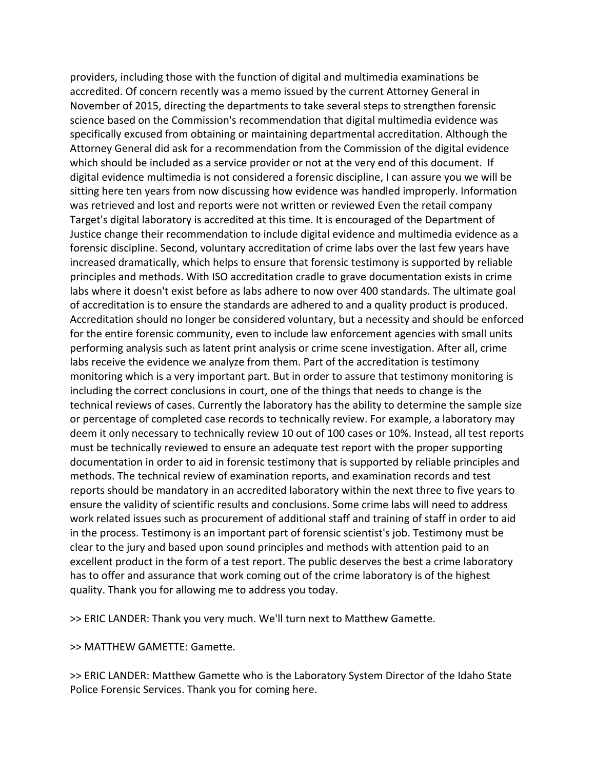providers, including those with the function of digital and multimedia examinations be accredited. Of concern recently was a memo issued by the current Attorney General in November of 2015, directing the departments to take several steps to strengthen forensic science based on the Commission's recommendation that digital multimedia evidence was specifically excused from obtaining or maintaining departmental accreditation. Although the Attorney General did ask for a recommendation from the Commission of the digital evidence which should be included as a service provider or not at the very end of this document. If digital evidence multimedia is not considered a forensic discipline, I can assure you we will be sitting here ten years from now discussing how evidence was handled improperly. Information was retrieved and lost and reports were not written or reviewed Even the retail company Target's digital laboratory is accredited at this time. It is encouraged of the Department of Justice change their recommendation to include digital evidence and multimedia evidence as a forensic discipline. Second, voluntary accreditation of crime labs over the last few years have increased dramatically, which helps to ensure that forensic testimony is supported by reliable principles and methods. With ISO accreditation cradle to grave documentation exists in crime labs where it doesn't exist before as labs adhere to now over 400 standards. The ultimate goal of accreditation is to ensure the standards are adhered to and a quality product is produced. Accreditation should no longer be considered voluntary, but a necessity and should be enforced for the entire forensic community, even to include law enforcement agencies with small units performing analysis such as latent print analysis or crime scene investigation. After all, crime labs receive the evidence we analyze from them. Part of the accreditation is testimony monitoring which is a very important part. But in order to assure that testimony monitoring is including the correct conclusions in court, one of the things that needs to change is the technical reviews of cases. Currently the laboratory has the ability to determine the sample size or percentage of completed case records to technically review. For example, a laboratory may deem it only necessary to technically review 10 out of 100 cases or 10%. Instead, all test reports must be technically reviewed to ensure an adequate test report with the proper supporting documentation in order to aid in forensic testimony that is supported by reliable principles and methods. The technical review of examination reports, and examination records and test reports should be mandatory in an accredited laboratory within the next three to five years to ensure the validity of scientific results and conclusions. Some crime labs will need to address work related issues such as procurement of additional staff and training of staff in order to aid in the process. Testimony is an important part of forensic scientist's job. Testimony must be clear to the jury and based upon sound principles and methods with attention paid to an excellent product in the form of a test report. The public deserves the best a crime laboratory has to offer and assurance that work coming out of the crime laboratory is of the highest quality. Thank you for allowing me to address you today.

>> ERIC LANDER: Thank you very much. We'll turn next to Matthew Gamette.

>> MATTHEW GAMETTE: Gamette.

>> ERIC LANDER: Matthew Gamette who is the Laboratory System Director of the Idaho State Police Forensic Services. Thank you for coming here.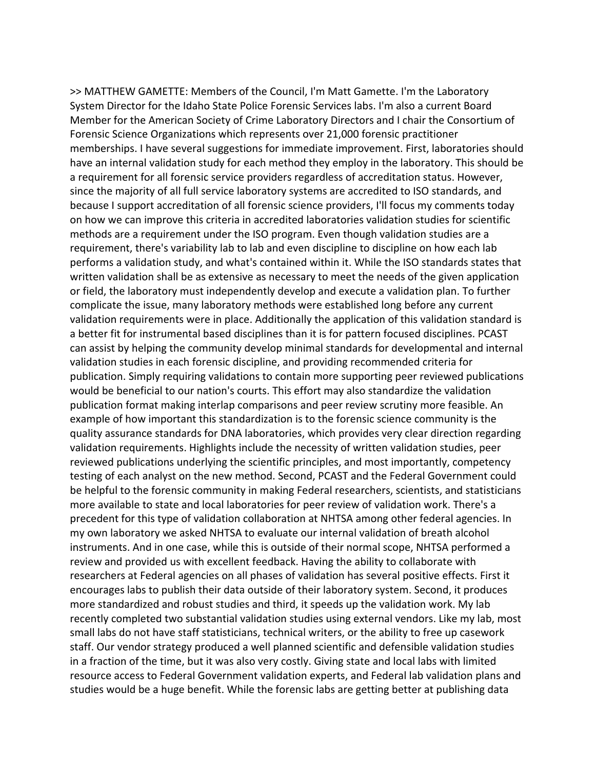>> MATTHEW GAMETTE: Members of the Council, I'm Matt Gamette. I'm the Laboratory System Director for the Idaho State Police Forensic Services labs. I'm also a current Board Member for the American Society of Crime Laboratory Directors and I chair the Consortium of Forensic Science Organizations which represents over 21,000 forensic practitioner memberships. I have several suggestions for immediate improvement. First, laboratories should have an internal validation study for each method they employ in the laboratory. This should be a requirement for all forensic service providers regardless of accreditation status. However, since the majority of all full service laboratory systems are accredited to ISO standards, and because I support accreditation of all forensic science providers, I'll focus my comments today on how we can improve this criteria in accredited laboratories validation studies for scientific methods are a requirement under the ISO program. Even though validation studies are a requirement, there's variability lab to lab and even discipline to discipline on how each lab performs a validation study, and what's contained within it. While the ISO standards states that written validation shall be as extensive as necessary to meet the needs of the given application or field, the laboratory must independently develop and execute a validation plan. To further complicate the issue, many laboratory methods were established long before any current validation requirements were in place. Additionally the application of this validation standard is a better fit for instrumental based disciplines than it is for pattern focused disciplines. PCAST can assist by helping the community develop minimal standards for developmental and internal validation studies in each forensic discipline, and providing recommended criteria for publication. Simply requiring validations to contain more supporting peer reviewed publications would be beneficial to our nation's courts. This effort may also standardize the validation publication format making interlap comparisons and peer review scrutiny more feasible. An example of how important this standardization is to the forensic science community is the quality assurance standards for DNA laboratories, which provides very clear direction regarding validation requirements. Highlights include the necessity of written validation studies, peer reviewed publications underlying the scientific principles, and most importantly, competency testing of each analyst on the new method. Second, PCAST and the Federal Government could be helpful to the forensic community in making Federal researchers, scientists, and statisticians more available to state and local laboratories for peer review of validation work. There's a precedent for this type of validation collaboration at NHTSA among other federal agencies. In my own laboratory we asked NHTSA to evaluate our internal validation of breath alcohol instruments. And in one case, while this is outside of their normal scope, NHTSA performed a review and provided us with excellent feedback. Having the ability to collaborate with researchers at Federal agencies on all phases of validation has several positive effects. First it encourages labs to publish their data outside of their laboratory system. Second, it produces more standardized and robust studies and third, it speeds up the validation work. My lab recently completed two substantial validation studies using external vendors. Like my lab, most small labs do not have staff statisticians, technical writers, or the ability to free up casework staff. Our vendor strategy produced a well planned scientific and defensible validation studies in a fraction of the time, but it was also very costly. Giving state and local labs with limited resource access to Federal Government validation experts, and Federal lab validation plans and studies would be a huge benefit. While the forensic labs are getting better at publishing data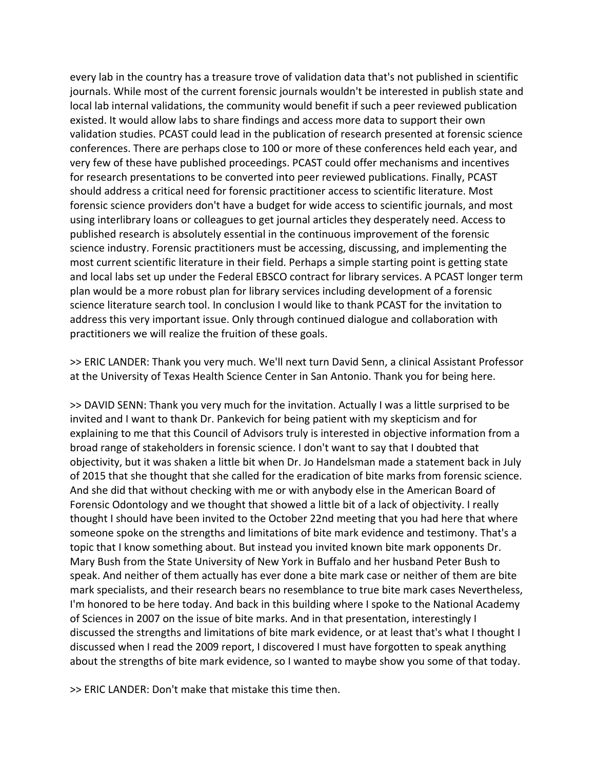every lab in the country has a treasure trove of validation data that's not published in scientific journals. While most of the current forensic journals wouldn't be interested in publish state and local lab internal validations, the community would benefit if such a peer reviewed publication existed. It would allow labs to share findings and access more data to support their own validation studies. PCAST could lead in the publication of research presented at forensic science conferences. There are perhaps close to 100 or more of these conferences held each year, and very few of these have published proceedings. PCAST could offer mechanisms and incentives for research presentations to be converted into peer reviewed publications. Finally, PCAST should address a critical need for forensic practitioner access to scientific literature. Most forensic science providers don't have a budget for wide access to scientific journals, and most using interlibrary loans or colleagues to get journal articles they desperately need. Access to published research is absolutely essential in the continuous improvement of the forensic science industry. Forensic practitioners must be accessing, discussing, and implementing the most current scientific literature in their field. Perhaps a simple starting point is getting state and local labs set up under the Federal EBSCO contract for library services. A PCAST longer term plan would be a more robust plan for library services including development of a forensic science literature search tool. In conclusion I would like to thank PCAST for the invitation to address this very important issue. Only through continued dialogue and collaboration with practitioners we will realize the fruition of these goals.

>> ERIC LANDER: Thank you very much. We'll next turn David Senn, a clinical Assistant Professor at the University of Texas Health Science Center in San Antonio. Thank you for being here.

>> DAVID SENN: Thank you very much for the invitation. Actually I was a little surprised to be invited and I want to thank Dr. Pankevich for being patient with my skepticism and for explaining to me that this Council of Advisors truly is interested in objective information from a broad range of stakeholders in forensic science. I don't want to say that I doubted that objectivity, but it was shaken a little bit when Dr. Jo Handelsman made a statement back in July of 2015 that she thought that she called for the eradication of bite marks from forensic science. And she did that without checking with me or with anybody else in the American Board of Forensic Odontology and we thought that showed a little bit of a lack of objectivity. I really thought I should have been invited to the October 22nd meeting that you had here that where someone spoke on the strengths and limitations of bite mark evidence and testimony. That's a topic that I know something about. But instead you invited known bite mark opponents Dr. Mary Bush from the State University of New York in Buffalo and her husband Peter Bush to speak. And neither of them actually has ever done a bite mark case or neither of them are bite mark specialists, and their research bears no resemblance to true bite mark cases Nevertheless, I'm honored to be here today. And back in this building where I spoke to the National Academy of Sciences in 2007 on the issue of bite marks. And in that presentation, interestingly I discussed the strengths and limitations of bite mark evidence, or at least that's what I thought I discussed when I read the 2009 report, I discovered I must have forgotten to speak anything about the strengths of bite mark evidence, so I wanted to maybe show you some of that today.

>> ERIC LANDER: Don't make that mistake this time then.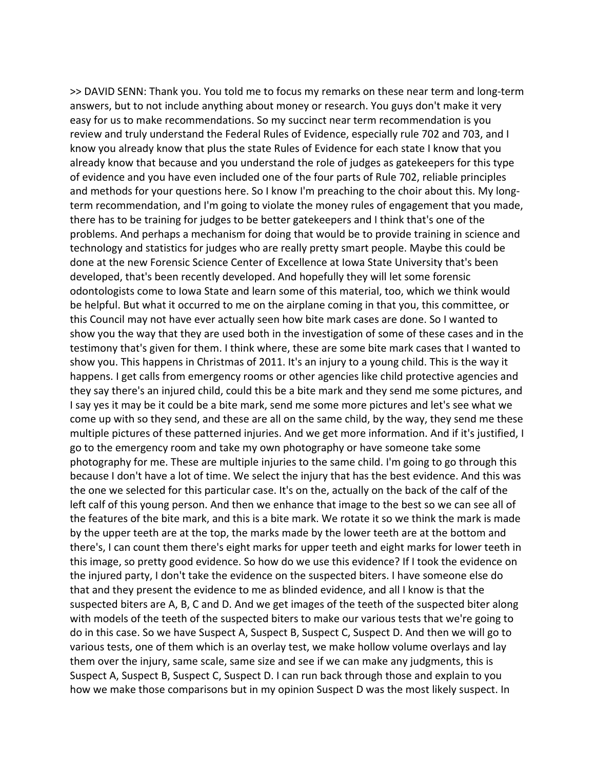>> DAVID SENN: Thank you. You told me to focus my remarks on these near term and long‐term answers, but to not include anything about money or research. You guys don't make it very easy for us to make recommendations. So my succinct near term recommendation is you review and truly understand the Federal Rules of Evidence, especially rule 702 and 703, and I know you already know that plus the state Rules of Evidence for each state I know that you already know that because and you understand the role of judges as gatekeepers for this type of evidence and you have even included one of the four parts of Rule 702, reliable principles and methods for your questions here. So I know I'm preaching to the choir about this. My longterm recommendation, and I'm going to violate the money rules of engagement that you made, there has to be training for judges to be better gatekeepers and I think that's one of the problems. And perhaps a mechanism for doing that would be to provide training in science and technology and statistics for judges who are really pretty smart people. Maybe this could be done at the new Forensic Science Center of Excellence at Iowa State University that's been developed, that's been recently developed. And hopefully they will let some forensic odontologists come to Iowa State and learn some of this material, too, which we think would be helpful. But what it occurred to me on the airplane coming in that you, this committee, or this Council may not have ever actually seen how bite mark cases are done. So I wanted to show you the way that they are used both in the investigation of some of these cases and in the testimony that's given for them. I think where, these are some bite mark cases that I wanted to show you. This happens in Christmas of 2011. It's an injury to a young child. This is the way it happens. I get calls from emergency rooms or other agencies like child protective agencies and they say there's an injured child, could this be a bite mark and they send me some pictures, and I say yes it may be it could be a bite mark, send me some more pictures and let's see what we come up with so they send, and these are all on the same child, by the way, they send me these multiple pictures of these patterned injuries. And we get more information. And if it's justified, I go to the emergency room and take my own photography or have someone take some photography for me. These are multiple injuries to the same child. I'm going to go through this because I don't have a lot of time. We select the injury that has the best evidence. And this was the one we selected for this particular case. It's on the, actually on the back of the calf of the left calf of this young person. And then we enhance that image to the best so we can see all of the features of the bite mark, and this is a bite mark. We rotate it so we think the mark is made by the upper teeth are at the top, the marks made by the lower teeth are at the bottom and there's, I can count them there's eight marks for upper teeth and eight marks for lower teeth in this image, so pretty good evidence. So how do we use this evidence? If I took the evidence on the injured party, I don't take the evidence on the suspected biters. I have someone else do that and they present the evidence to me as blinded evidence, and all I know is that the suspected biters are A, B, C and D. And we get images of the teeth of the suspected biter along with models of the teeth of the suspected biters to make our various tests that we're going to do in this case. So we have Suspect A, Suspect B, Suspect C, Suspect D. And then we will go to various tests, one of them which is an overlay test, we make hollow volume overlays and lay them over the injury, same scale, same size and see if we can make any judgments, this is Suspect A, Suspect B, Suspect C, Suspect D. I can run back through those and explain to you how we make those comparisons but in my opinion Suspect D was the most likely suspect. In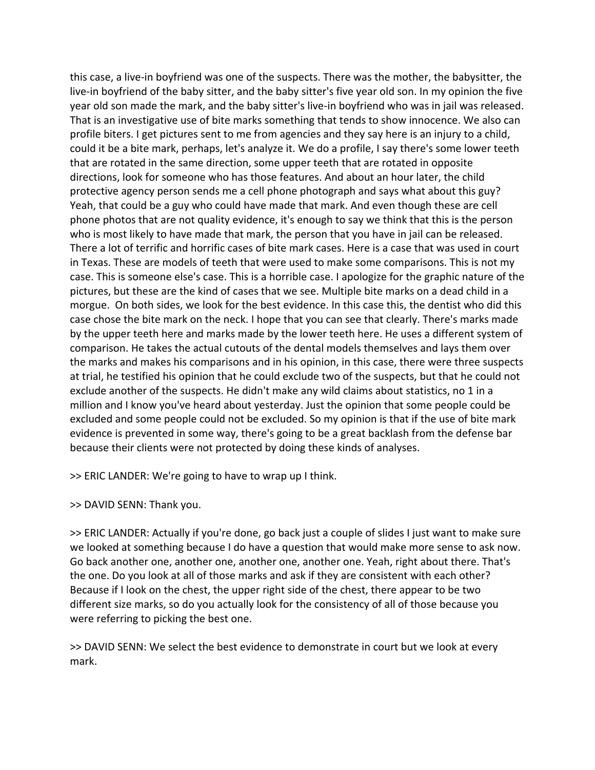this case, a live‐in boyfriend was one of the suspects. There was the mother, the babysitter, the live‐in boyfriend of the baby sitter, and the baby sitter's five year old son. In my opinion the five year old son made the mark, and the baby sitter's live‐in boyfriend who was in jail was released. That is an investigative use of bite marks something that tends to show innocence. We also can profile biters. I get pictures sent to me from agencies and they say here is an injury to a child, could it be a bite mark, perhaps, let's analyze it. We do a profile, I say there's some lower teeth that are rotated in the same direction, some upper teeth that are rotated in opposite directions, look for someone who has those features. And about an hour later, the child protective agency person sends me a cell phone photograph and says what about this guy? Yeah, that could be a guy who could have made that mark. And even though these are cell phone photos that are not quality evidence, it's enough to say we think that this is the person who is most likely to have made that mark, the person that you have in jail can be released. There a lot of terrific and horrific cases of bite mark cases. Here is a case that was used in court in Texas. These are models of teeth that were used to make some comparisons. This is not my case. This is someone else's case. This is a horrible case. I apologize for the graphic nature of the pictures, but these are the kind of cases that we see. Multiple bite marks on a dead child in a morgue. On both sides, we look for the best evidence. In this case this, the dentist who did this case chose the bite mark on the neck. I hope that you can see that clearly. There's marks made by the upper teeth here and marks made by the lower teeth here. He uses a different system of comparison. He takes the actual cutouts of the dental models themselves and lays them over the marks and makes his comparisons and in his opinion, in this case, there were three suspects at trial, he testified his opinion that he could exclude two of the suspects, but that he could not exclude another of the suspects. He didn't make any wild claims about statistics, no 1 in a million and I know you've heard about yesterday. Just the opinion that some people could be excluded and some people could not be excluded. So my opinion is that if the use of bite mark evidence is prevented in some way, there's going to be a great backlash from the defense bar because their clients were not protected by doing these kinds of analyses.

>> ERIC LANDER: We're going to have to wrap up I think.

>> DAVID SENN: Thank you.

>> ERIC LANDER: Actually if you're done, go back just a couple of slides I just want to make sure we looked at something because I do have a question that would make more sense to ask now. Go back another one, another one, another one, another one. Yeah, right about there. That's the one. Do you look at all of those marks and ask if they are consistent with each other? Because if I look on the chest, the upper right side of the chest, there appear to be two different size marks, so do you actually look for the consistency of all of those because you were referring to picking the best one.

>> DAVID SENN: We select the best evidence to demonstrate in court but we look at every mark.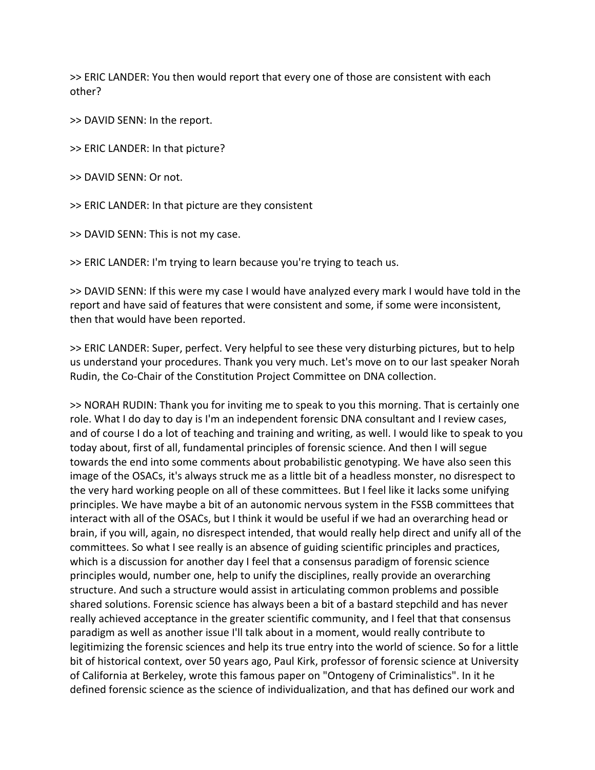>> ERIC LANDER: You then would report that every one of those are consistent with each other?

>> DAVID SENN: In the report.

>> ERIC LANDER: In that picture?

>> DAVID SENN: Or not.

>> ERIC LANDER: In that picture are they consistent

>> DAVID SENN: This is not my case.

>> ERIC LANDER: I'm trying to learn because you're trying to teach us.

>> DAVID SENN: If this were my case I would have analyzed every mark I would have told in the report and have said of features that were consistent and some, if some were inconsistent, then that would have been reported.

>> ERIC LANDER: Super, perfect. Very helpful to see these very disturbing pictures, but to help us understand your procedures. Thank you very much. Let's move on to our last speaker Norah Rudin, the Co‐Chair of the Constitution Project Committee on DNA collection.

>> NORAH RUDIN: Thank you for inviting me to speak to you this morning. That is certainly one role. What I do day to day is I'm an independent forensic DNA consultant and I review cases, and of course I do a lot of teaching and training and writing, as well. I would like to speak to you today about, first of all, fundamental principles of forensic science. And then I will segue towards the end into some comments about probabilistic genotyping. We have also seen this image of the OSACs, it's always struck me as a little bit of a headless monster, no disrespect to the very hard working people on all of these committees. But I feel like it lacks some unifying principles. We have maybe a bit of an autonomic nervous system in the FSSB committees that interact with all of the OSACs, but I think it would be useful if we had an overarching head or brain, if you will, again, no disrespect intended, that would really help direct and unify all of the committees. So what I see really is an absence of guiding scientific principles and practices, which is a discussion for another day I feel that a consensus paradigm of forensic science principles would, number one, help to unify the disciplines, really provide an overarching structure. And such a structure would assist in articulating common problems and possible shared solutions. Forensic science has always been a bit of a bastard stepchild and has never really achieved acceptance in the greater scientific community, and I feel that that consensus paradigm as well as another issue I'll talk about in a moment, would really contribute to legitimizing the forensic sciences and help its true entry into the world of science. So for a little bit of historical context, over 50 years ago, Paul Kirk, professor of forensic science at University of California at Berkeley, wrote this famous paper on "Ontogeny of Criminalistics". In it he defined forensic science as the science of individualization, and that has defined our work and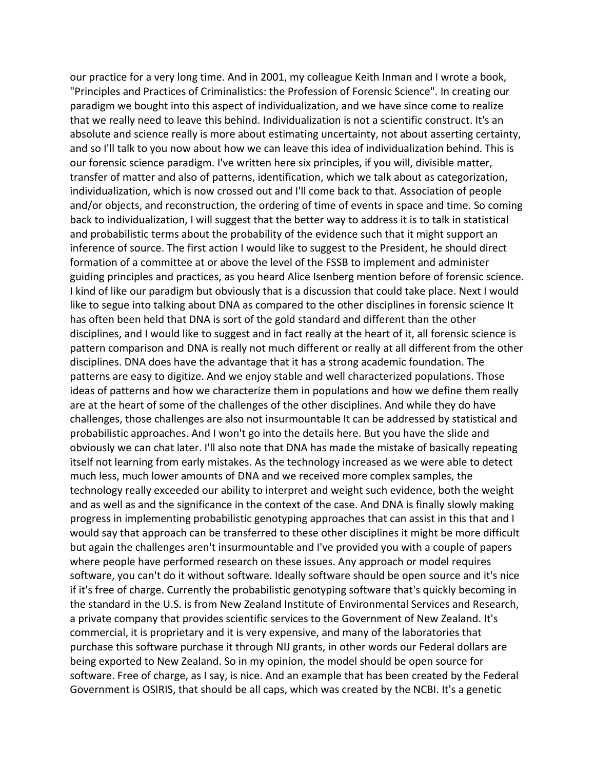our practice for a very long time. And in 2001, my colleague Keith Inman and I wrote a book, "Principles and Practices of Criminalistics: the Profession of Forensic Science". In creating our paradigm we bought into this aspect of individualization, and we have since come to realize that we really need to leave this behind. Individualization is not a scientific construct. It's an absolute and science really is more about estimating uncertainty, not about asserting certainty, and so I'll talk to you now about how we can leave this idea of individualization behind. This is our forensic science paradigm. I've written here six principles, if you will, divisible matter, transfer of matter and also of patterns, identification, which we talk about as categorization, individualization, which is now crossed out and I'll come back to that. Association of people and/or objects, and reconstruction, the ordering of time of events in space and time. So coming back to individualization, I will suggest that the better way to address it is to talk in statistical and probabilistic terms about the probability of the evidence such that it might support an inference of source. The first action I would like to suggest to the President, he should direct formation of a committee at or above the level of the FSSB to implement and administer guiding principles and practices, as you heard Alice Isenberg mention before of forensic science. I kind of like our paradigm but obviously that is a discussion that could take place. Next I would like to segue into talking about DNA as compared to the other disciplines in forensic science It has often been held that DNA is sort of the gold standard and different than the other disciplines, and I would like to suggest and in fact really at the heart of it, all forensic science is pattern comparison and DNA is really not much different or really at all different from the other disciplines. DNA does have the advantage that it has a strong academic foundation. The patterns are easy to digitize. And we enjoy stable and well characterized populations. Those ideas of patterns and how we characterize them in populations and how we define them really are at the heart of some of the challenges of the other disciplines. And while they do have challenges, those challenges are also not insurmountable It can be addressed by statistical and probabilistic approaches. And I won't go into the details here. But you have the slide and obviously we can chat later. I'll also note that DNA has made the mistake of basically repeating itself not learning from early mistakes. As the technology increased as we were able to detect much less, much lower amounts of DNA and we received more complex samples, the technology really exceeded our ability to interpret and weight such evidence, both the weight and as well as and the significance in the context of the case. And DNA is finally slowly making progress in implementing probabilistic genotyping approaches that can assist in this that and I would say that approach can be transferred to these other disciplines it might be more difficult but again the challenges aren't insurmountable and I've provided you with a couple of papers where people have performed research on these issues. Any approach or model requires software, you can't do it without software. Ideally software should be open source and it's nice if it's free of charge. Currently the probabilistic genotyping software that's quickly becoming in the standard in the U.S. is from New Zealand Institute of Environmental Services and Research, a private company that provides scientific services to the Government of New Zealand. It's commercial, it is proprietary and it is very expensive, and many of the laboratories that purchase this software purchase it through NIJ grants, in other words our Federal dollars are being exported to New Zealand. So in my opinion, the model should be open source for software. Free of charge, as I say, is nice. And an example that has been created by the Federal Government is OSIRIS, that should be all caps, which was created by the NCBI. It's a genetic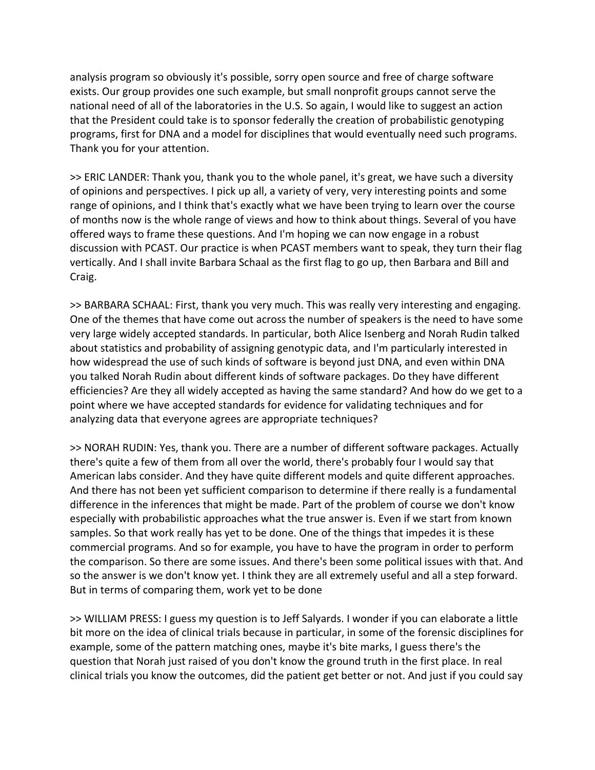analysis program so obviously it's possible, sorry open source and free of charge software exists. Our group provides one such example, but small nonprofit groups cannot serve the national need of all of the laboratories in the U.S. So again, I would like to suggest an action that the President could take is to sponsor federally the creation of probabilistic genotyping programs, first for DNA and a model for disciplines that would eventually need such programs. Thank you for your attention.

>> ERIC LANDER: Thank you, thank you to the whole panel, it's great, we have such a diversity of opinions and perspectives. I pick up all, a variety of very, very interesting points and some range of opinions, and I think that's exactly what we have been trying to learn over the course of months now is the whole range of views and how to think about things. Several of you have offered ways to frame these questions. And I'm hoping we can now engage in a robust discussion with PCAST. Our practice is when PCAST members want to speak, they turn their flag vertically. And I shall invite Barbara Schaal as the first flag to go up, then Barbara and Bill and Craig.

>> BARBARA SCHAAL: First, thank you very much. This was really very interesting and engaging. One of the themes that have come out across the number of speakers is the need to have some very large widely accepted standards. In particular, both Alice Isenberg and Norah Rudin talked about statistics and probability of assigning genotypic data, and I'm particularly interested in how widespread the use of such kinds of software is beyond just DNA, and even within DNA you talked Norah Rudin about different kinds of software packages. Do they have different efficiencies? Are they all widely accepted as having the same standard? And how do we get to a point where we have accepted standards for evidence for validating techniques and for analyzing data that everyone agrees are appropriate techniques?

>> NORAH RUDIN: Yes, thank you. There are a number of different software packages. Actually there's quite a few of them from all over the world, there's probably four I would say that American labs consider. And they have quite different models and quite different approaches. And there has not been yet sufficient comparison to determine if there really is a fundamental difference in the inferences that might be made. Part of the problem of course we don't know especially with probabilistic approaches what the true answer is. Even if we start from known samples. So that work really has yet to be done. One of the things that impedes it is these commercial programs. And so for example, you have to have the program in order to perform the comparison. So there are some issues. And there's been some political issues with that. And so the answer is we don't know yet. I think they are all extremely useful and all a step forward. But in terms of comparing them, work yet to be done

>> WILLIAM PRESS: I guess my question is to Jeff Salyards. I wonder if you can elaborate a little bit more on the idea of clinical trials because in particular, in some of the forensic disciplines for example, some of the pattern matching ones, maybe it's bite marks, I guess there's the question that Norah just raised of you don't know the ground truth in the first place. In real clinical trials you know the outcomes, did the patient get better or not. And just if you could say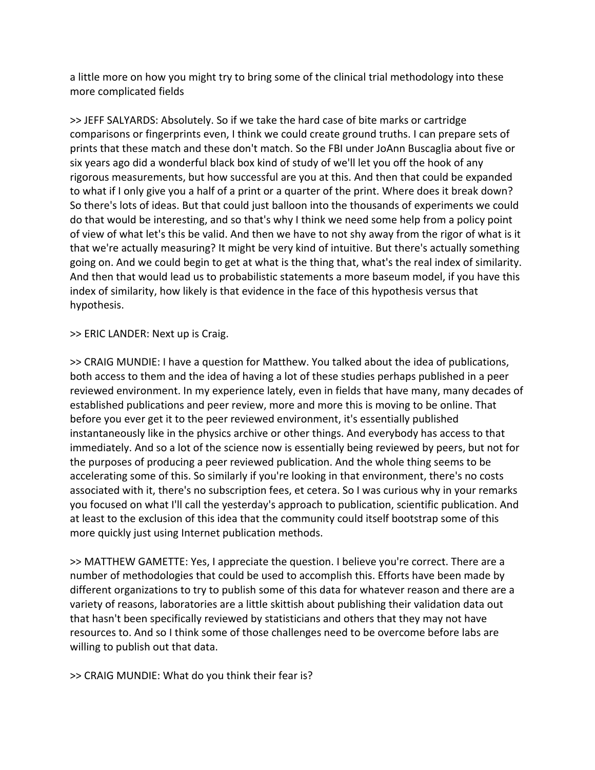a little more on how you might try to bring some of the clinical trial methodology into these more complicated fields

>> JEFF SALYARDS: Absolutely. So if we take the hard case of bite marks or cartridge comparisons or fingerprints even, I think we could create ground truths. I can prepare sets of prints that these match and these don't match. So the FBI under JoAnn Buscaglia about five or six years ago did a wonderful black box kind of study of we'll let you off the hook of any rigorous measurements, but how successful are you at this. And then that could be expanded to what if I only give you a half of a print or a quarter of the print. Where does it break down? So there's lots of ideas. But that could just balloon into the thousands of experiments we could do that would be interesting, and so that's why I think we need some help from a policy point of view of what let's this be valid. And then we have to not shy away from the rigor of what is it that we're actually measuring? It might be very kind of intuitive. But there's actually something going on. And we could begin to get at what is the thing that, what's the real index of similarity. And then that would lead us to probabilistic statements a more baseum model, if you have this index of similarity, how likely is that evidence in the face of this hypothesis versus that hypothesis.

>> ERIC LANDER: Next up is Craig.

>> CRAIG MUNDIE: I have a question for Matthew. You talked about the idea of publications, both access to them and the idea of having a lot of these studies perhaps published in a peer reviewed environment. In my experience lately, even in fields that have many, many decades of established publications and peer review, more and more this is moving to be online. That before you ever get it to the peer reviewed environment, it's essentially published instantaneously like in the physics archive or other things. And everybody has access to that immediately. And so a lot of the science now is essentially being reviewed by peers, but not for the purposes of producing a peer reviewed publication. And the whole thing seems to be accelerating some of this. So similarly if you're looking in that environment, there's no costs associated with it, there's no subscription fees, et cetera. So I was curious why in your remarks you focused on what I'll call the yesterday's approach to publication, scientific publication. And at least to the exclusion of this idea that the community could itself bootstrap some of this more quickly just using Internet publication methods.

>> MATTHEW GAMETTE: Yes, I appreciate the question. I believe you're correct. There are a number of methodologies that could be used to accomplish this. Efforts have been made by different organizations to try to publish some of this data for whatever reason and there are a variety of reasons, laboratories are a little skittish about publishing their validation data out that hasn't been specifically reviewed by statisticians and others that they may not have resources to. And so I think some of those challenges need to be overcome before labs are willing to publish out that data.

>> CRAIG MUNDIE: What do you think their fear is?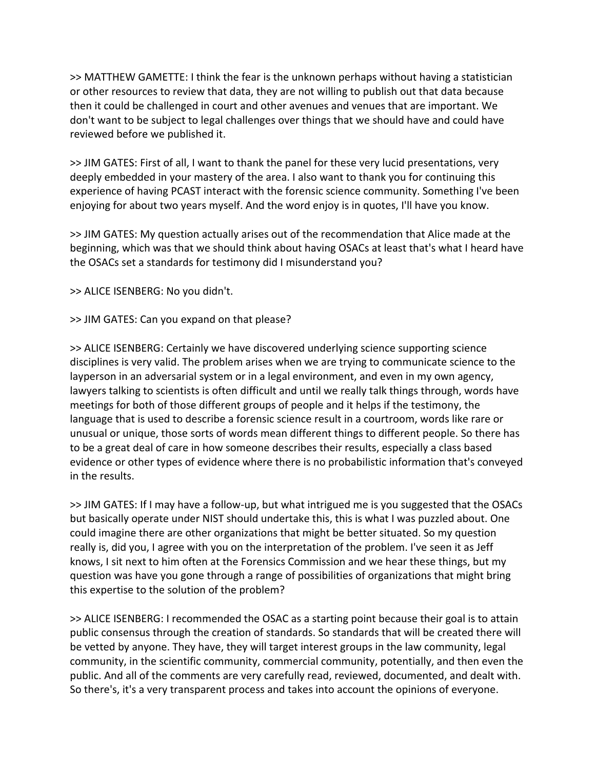>> MATTHEW GAMETTE: I think the fear is the unknown perhaps without having a statistician or other resources to review that data, they are not willing to publish out that data because then it could be challenged in court and other avenues and venues that are important. We don't want to be subject to legal challenges over things that we should have and could have reviewed before we published it.

>> JIM GATES: First of all, I want to thank the panel for these very lucid presentations, very deeply embedded in your mastery of the area. I also want to thank you for continuing this experience of having PCAST interact with the forensic science community. Something I've been enjoying for about two years myself. And the word enjoy is in quotes, I'll have you know.

>> JIM GATES: My question actually arises out of the recommendation that Alice made at the beginning, which was that we should think about having OSACs at least that's what I heard have the OSACs set a standards for testimony did I misunderstand you?

>> ALICE ISENBERG: No you didn't.

>> JIM GATES: Can you expand on that please?

>> ALICE ISENBERG: Certainly we have discovered underlying science supporting science disciplines is very valid. The problem arises when we are trying to communicate science to the layperson in an adversarial system or in a legal environment, and even in my own agency, lawyers talking to scientists is often difficult and until we really talk things through, words have meetings for both of those different groups of people and it helps if the testimony, the language that is used to describe a forensic science result in a courtroom, words like rare or unusual or unique, those sorts of words mean different things to different people. So there has to be a great deal of care in how someone describes their results, especially a class based evidence or other types of evidence where there is no probabilistic information that's conveyed in the results.

>> JIM GATES: If I may have a follow‐up, but what intrigued me is you suggested that the OSACs but basically operate under NIST should undertake this, this is what I was puzzled about. One could imagine there are other organizations that might be better situated. So my question really is, did you, I agree with you on the interpretation of the problem. I've seen it as Jeff knows, I sit next to him often at the Forensics Commission and we hear these things, but my question was have you gone through a range of possibilities of organizations that might bring this expertise to the solution of the problem?

>> ALICE ISENBERG: I recommended the OSAC as a starting point because their goal is to attain public consensus through the creation of standards. So standards that will be created there will be vetted by anyone. They have, they will target interest groups in the law community, legal community, in the scientific community, commercial community, potentially, and then even the public. And all of the comments are very carefully read, reviewed, documented, and dealt with. So there's, it's a very transparent process and takes into account the opinions of everyone.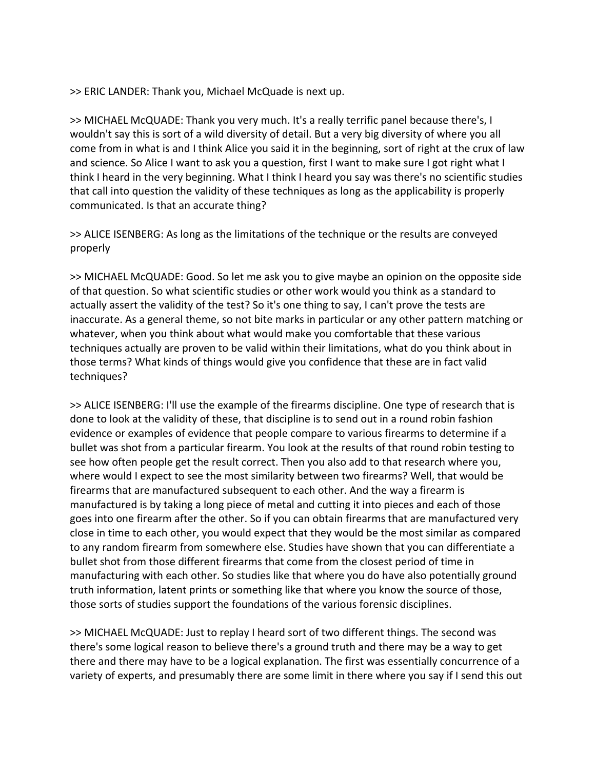>> ERIC LANDER: Thank you, Michael McQuade is next up.

>> MICHAEL McQUADE: Thank you very much. It's a really terrific panel because there's, I wouldn't say this is sort of a wild diversity of detail. But a very big diversity of where you all come from in what is and I think Alice you said it in the beginning, sort of right at the crux of law and science. So Alice I want to ask you a question, first I want to make sure I got right what I think I heard in the very beginning. What I think I heard you say was there's no scientific studies that call into question the validity of these techniques as long as the applicability is properly communicated. Is that an accurate thing?

>> ALICE ISENBERG: As long as the limitations of the technique or the results are conveyed properly

>> MICHAEL McQUADE: Good. So let me ask you to give maybe an opinion on the opposite side of that question. So what scientific studies or other work would you think as a standard to actually assert the validity of the test? So it's one thing to say, I can't prove the tests are inaccurate. As a general theme, so not bite marks in particular or any other pattern matching or whatever, when you think about what would make you comfortable that these various techniques actually are proven to be valid within their limitations, what do you think about in those terms? What kinds of things would give you confidence that these are in fact valid techniques?

>> ALICE ISENBERG: I'll use the example of the firearms discipline. One type of research that is done to look at the validity of these, that discipline is to send out in a round robin fashion evidence or examples of evidence that people compare to various firearms to determine if a bullet was shot from a particular firearm. You look at the results of that round robin testing to see how often people get the result correct. Then you also add to that research where you, where would I expect to see the most similarity between two firearms? Well, that would be firearms that are manufactured subsequent to each other. And the way a firearm is manufactured is by taking a long piece of metal and cutting it into pieces and each of those goes into one firearm after the other. So if you can obtain firearms that are manufactured very close in time to each other, you would expect that they would be the most similar as compared to any random firearm from somewhere else. Studies have shown that you can differentiate a bullet shot from those different firearms that come from the closest period of time in manufacturing with each other. So studies like that where you do have also potentially ground truth information, latent prints or something like that where you know the source of those, those sorts of studies support the foundations of the various forensic disciplines.

>> MICHAEL McQUADE: Just to replay I heard sort of two different things. The second was there's some logical reason to believe there's a ground truth and there may be a way to get there and there may have to be a logical explanation. The first was essentially concurrence of a variety of experts, and presumably there are some limit in there where you say if I send this out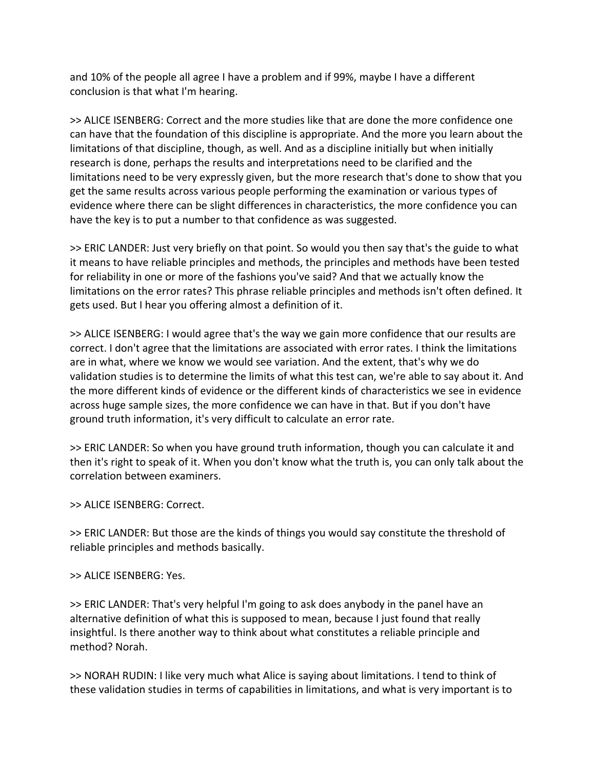and 10% of the people all agree I have a problem and if 99%, maybe I have a different conclusion is that what I'm hearing.

>> ALICE ISENBERG: Correct and the more studies like that are done the more confidence one can have that the foundation of this discipline is appropriate. And the more you learn about the limitations of that discipline, though, as well. And as a discipline initially but when initially research is done, perhaps the results and interpretations need to be clarified and the limitations need to be very expressly given, but the more research that's done to show that you get the same results across various people performing the examination or various types of evidence where there can be slight differences in characteristics, the more confidence you can have the key is to put a number to that confidence as was suggested.

>> ERIC LANDER: Just very briefly on that point. So would you then say that's the guide to what it means to have reliable principles and methods, the principles and methods have been tested for reliability in one or more of the fashions you've said? And that we actually know the limitations on the error rates? This phrase reliable principles and methods isn't often defined. It gets used. But I hear you offering almost a definition of it.

>> ALICE ISENBERG: I would agree that's the way we gain more confidence that our results are correct. I don't agree that the limitations are associated with error rates. I think the limitations are in what, where we know we would see variation. And the extent, that's why we do validation studies is to determine the limits of what this test can, we're able to say about it. And the more different kinds of evidence or the different kinds of characteristics we see in evidence across huge sample sizes, the more confidence we can have in that. But if you don't have ground truth information, it's very difficult to calculate an error rate.

>> ERIC LANDER: So when you have ground truth information, though you can calculate it and then it's right to speak of it. When you don't know what the truth is, you can only talk about the correlation between examiners.

# >> ALICE ISENBERG: Correct.

>> ERIC LANDER: But those are the kinds of things you would say constitute the threshold of reliable principles and methods basically.

## >> ALICE ISENBERG: Yes.

>> ERIC LANDER: That's very helpful I'm going to ask does anybody in the panel have an alternative definition of what this is supposed to mean, because I just found that really insightful. Is there another way to think about what constitutes a reliable principle and method? Norah.

>> NORAH RUDIN: I like very much what Alice is saying about limitations. I tend to think of these validation studies in terms of capabilities in limitations, and what is very important is to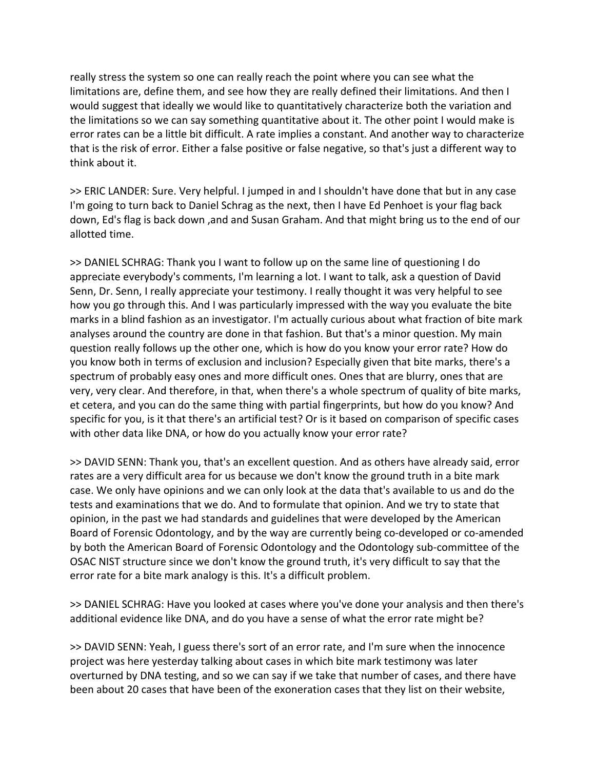really stress the system so one can really reach the point where you can see what the limitations are, define them, and see how they are really defined their limitations. And then I would suggest that ideally we would like to quantitatively characterize both the variation and the limitations so we can say something quantitative about it. The other point I would make is error rates can be a little bit difficult. A rate implies a constant. And another way to characterize that is the risk of error. Either a false positive or false negative, so that's just a different way to think about it.

>> ERIC LANDER: Sure. Very helpful. I jumped in and I shouldn't have done that but in any case I'm going to turn back to Daniel Schrag as the next, then I have Ed Penhoet is your flag back down, Ed's flag is back down ,and and Susan Graham. And that might bring us to the end of our allotted time.

>> DANIEL SCHRAG: Thank you I want to follow up on the same line of questioning I do appreciate everybody's comments, I'm learning a lot. I want to talk, ask a question of David Senn, Dr. Senn, I really appreciate your testimony. I really thought it was very helpful to see how you go through this. And I was particularly impressed with the way you evaluate the bite marks in a blind fashion as an investigator. I'm actually curious about what fraction of bite mark analyses around the country are done in that fashion. But that's a minor question. My main question really follows up the other one, which is how do you know your error rate? How do you know both in terms of exclusion and inclusion? Especially given that bite marks, there's a spectrum of probably easy ones and more difficult ones. Ones that are blurry, ones that are very, very clear. And therefore, in that, when there's a whole spectrum of quality of bite marks, et cetera, and you can do the same thing with partial fingerprints, but how do you know? And specific for you, is it that there's an artificial test? Or is it based on comparison of specific cases with other data like DNA, or how do you actually know your error rate?

>> DAVID SENN: Thank you, that's an excellent question. And as others have already said, error rates are a very difficult area for us because we don't know the ground truth in a bite mark case. We only have opinions and we can only look at the data that's available to us and do the tests and examinations that we do. And to formulate that opinion. And we try to state that opinion, in the past we had standards and guidelines that were developed by the American Board of Forensic Odontology, and by the way are currently being co-developed or co-amended by both the American Board of Forensic Odontology and the Odontology sub‐committee of the OSAC NIST structure since we don't know the ground truth, it's very difficult to say that the error rate for a bite mark analogy is this. It's a difficult problem.

>> DANIEL SCHRAG: Have you looked at cases where you've done your analysis and then there's additional evidence like DNA, and do you have a sense of what the error rate might be?

>> DAVID SENN: Yeah, I guess there's sort of an error rate, and I'm sure when the innocence project was here yesterday talking about cases in which bite mark testimony was later overturned by DNA testing, and so we can say if we take that number of cases, and there have been about 20 cases that have been of the exoneration cases that they list on their website,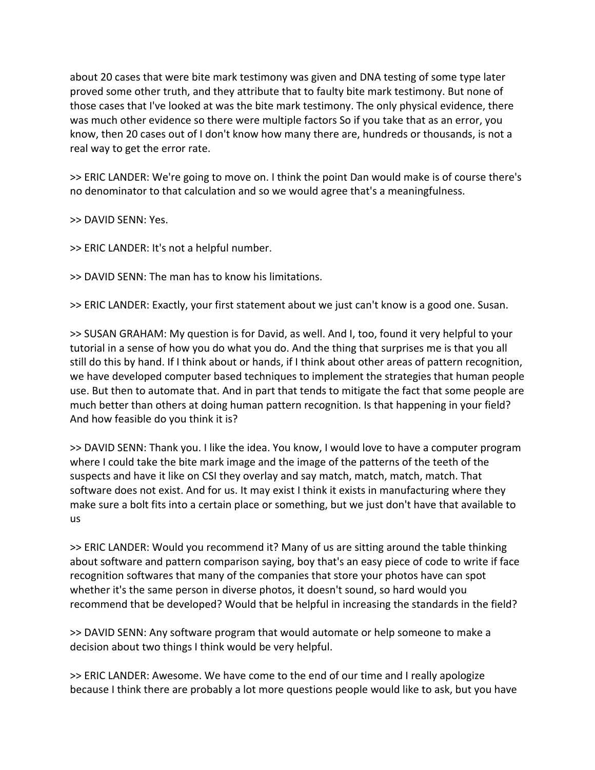about 20 cases that were bite mark testimony was given and DNA testing of some type later proved some other truth, and they attribute that to faulty bite mark testimony. But none of those cases that I've looked at was the bite mark testimony. The only physical evidence, there was much other evidence so there were multiple factors So if you take that as an error, you know, then 20 cases out of I don't know how many there are, hundreds or thousands, is not a real way to get the error rate.

>> ERIC LANDER: We're going to move on. I think the point Dan would make is of course there's no denominator to that calculation and so we would agree that's a meaningfulness.

>> DAVID SENN: Yes.

>> ERIC LANDER: It's not a helpful number.

>> DAVID SENN: The man has to know his limitations.

>> ERIC LANDER: Exactly, your first statement about we just can't know is a good one. Susan.

>> SUSAN GRAHAM: My question is for David, as well. And I, too, found it very helpful to your tutorial in a sense of how you do what you do. And the thing that surprises me is that you all still do this by hand. If I think about or hands, if I think about other areas of pattern recognition, we have developed computer based techniques to implement the strategies that human people use. But then to automate that. And in part that tends to mitigate the fact that some people are much better than others at doing human pattern recognition. Is that happening in your field? And how feasible do you think it is?

>> DAVID SENN: Thank you. I like the idea. You know, I would love to have a computer program where I could take the bite mark image and the image of the patterns of the teeth of the suspects and have it like on CSI they overlay and say match, match, match, match. That software does not exist. And for us. It may exist I think it exists in manufacturing where they make sure a bolt fits into a certain place or something, but we just don't have that available to us

>> ERIC LANDER: Would you recommend it? Many of us are sitting around the table thinking about software and pattern comparison saying, boy that's an easy piece of code to write if face recognition softwares that many of the companies that store your photos have can spot whether it's the same person in diverse photos, it doesn't sound, so hard would you recommend that be developed? Would that be helpful in increasing the standards in the field?

>> DAVID SENN: Any software program that would automate or help someone to make a decision about two things I think would be very helpful.

>> ERIC LANDER: Awesome. We have come to the end of our time and I really apologize because I think there are probably a lot more questions people would like to ask, but you have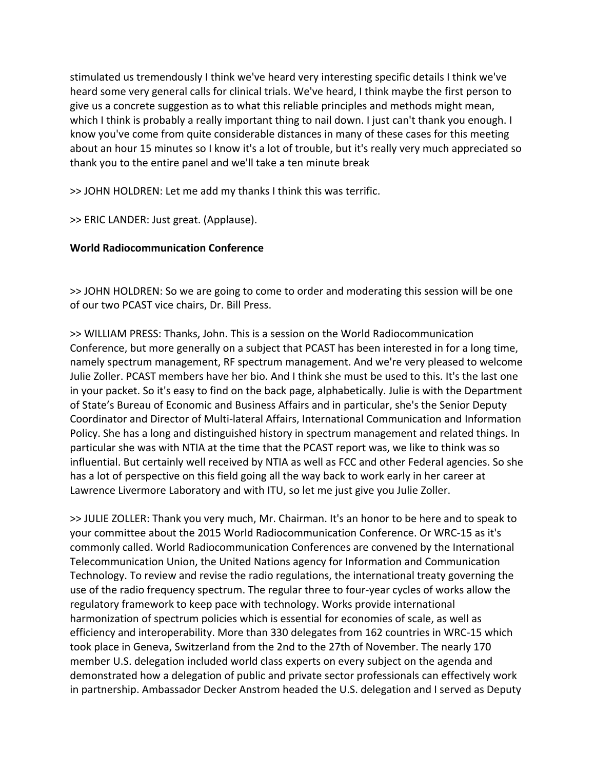stimulated us tremendously I think we've heard very interesting specific details I think we've heard some very general calls for clinical trials. We've heard, I think maybe the first person to give us a concrete suggestion as to what this reliable principles and methods might mean, which I think is probably a really important thing to nail down. I just can't thank you enough. I know you've come from quite considerable distances in many of these cases for this meeting about an hour 15 minutes so I know it's a lot of trouble, but it's really very much appreciated so thank you to the entire panel and we'll take a ten minute break

>> JOHN HOLDREN: Let me add my thanks I think this was terrific.

>> ERIC LANDER: Just great. (Applause).

## **World Radiocommunication Conference**

>> JOHN HOLDREN: So we are going to come to order and moderating this session will be one of our two PCAST vice chairs, Dr. Bill Press.

>> WILLIAM PRESS: Thanks, John. This is a session on the World Radiocommunication Conference, but more generally on a subject that PCAST has been interested in for a long time, namely spectrum management, RF spectrum management. And we're very pleased to welcome Julie Zoller. PCAST members have her bio. And I think she must be used to this. It's the last one in your packet. So it's easy to find on the back page, alphabetically. Julie is with the Department of State's Bureau of Economic and Business Affairs and in particular, she's the Senior Deputy Coordinator and Director of Multi‐lateral Affairs, International Communication and Information Policy. She has a long and distinguished history in spectrum management and related things. In particular she was with NTIA at the time that the PCAST report was, we like to think was so influential. But certainly well received by NTIA as well as FCC and other Federal agencies. So she has a lot of perspective on this field going all the way back to work early in her career at Lawrence Livermore Laboratory and with ITU, so let me just give you Julie Zoller.

>> JULIE ZOLLER: Thank you very much, Mr. Chairman. It's an honor to be here and to speak to your committee about the 2015 World Radiocommunication Conference. Or WRC‐15 as it's commonly called. World Radiocommunication Conferences are convened by the International Telecommunication Union, the United Nations agency for Information and Communication Technology. To review and revise the radio regulations, the international treaty governing the use of the radio frequency spectrum. The regular three to four‐year cycles of works allow the regulatory framework to keep pace with technology. Works provide international harmonization of spectrum policies which is essential for economies of scale, as well as efficiency and interoperability. More than 330 delegates from 162 countries in WRC‐15 which took place in Geneva, Switzerland from the 2nd to the 27th of November. The nearly 170 member U.S. delegation included world class experts on every subject on the agenda and demonstrated how a delegation of public and private sector professionals can effectively work in partnership. Ambassador Decker Anstrom headed the U.S. delegation and I served as Deputy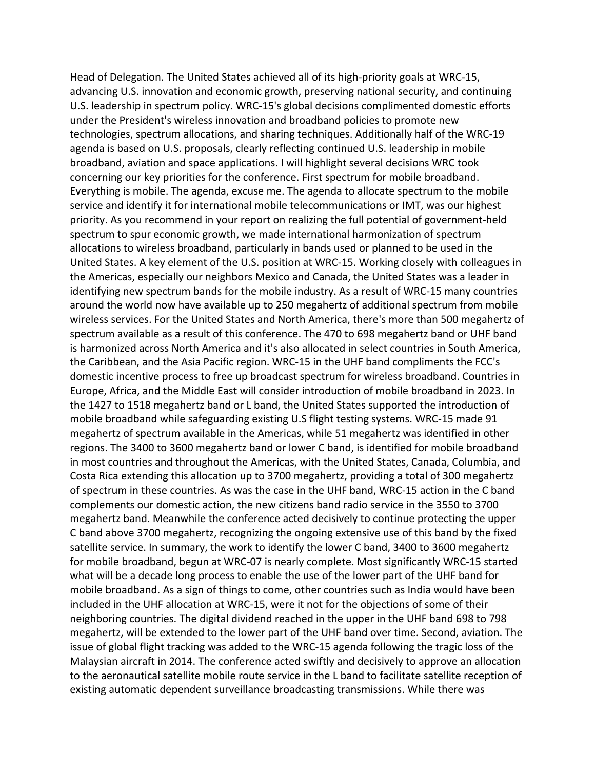Head of Delegation. The United States achieved all of its high‐priority goals at WRC‐15, advancing U.S. innovation and economic growth, preserving national security, and continuing U.S. leadership in spectrum policy. WRC‐15's global decisions complimented domestic efforts under the President's wireless innovation and broadband policies to promote new technologies, spectrum allocations, and sharing techniques. Additionally half of the WRC‐19 agenda is based on U.S. proposals, clearly reflecting continued U.S. leadership in mobile broadband, aviation and space applications. I will highlight several decisions WRC took concerning our key priorities for the conference. First spectrum for mobile broadband. Everything is mobile. The agenda, excuse me. The agenda to allocate spectrum to the mobile service and identify it for international mobile telecommunications or IMT, was our highest priority. As you recommend in your report on realizing the full potential of government‐held spectrum to spur economic growth, we made international harmonization of spectrum allocations to wireless broadband, particularly in bands used or planned to be used in the United States. A key element of the U.S. position at WRC‐15. Working closely with colleagues in the Americas, especially our neighbors Mexico and Canada, the United States was a leader in identifying new spectrum bands for the mobile industry. As a result of WRC‐15 many countries around the world now have available up to 250 megahertz of additional spectrum from mobile wireless services. For the United States and North America, there's more than 500 megahertz of spectrum available as a result of this conference. The 470 to 698 megahertz band or UHF band is harmonized across North America and it's also allocated in select countries in South America, the Caribbean, and the Asia Pacific region. WRC‐15 in the UHF band compliments the FCC's domestic incentive process to free up broadcast spectrum for wireless broadband. Countries in Europe, Africa, and the Middle East will consider introduction of mobile broadband in 2023. In the 1427 to 1518 megahertz band or L band, the United States supported the introduction of mobile broadband while safeguarding existing U.S flight testing systems. WRC‐15 made 91 megahertz of spectrum available in the Americas, while 51 megahertz was identified in other regions. The 3400 to 3600 megahertz band or lower C band, is identified for mobile broadband in most countries and throughout the Americas, with the United States, Canada, Columbia, and Costa Rica extending this allocation up to 3700 megahertz, providing a total of 300 megahertz of spectrum in these countries. As was the case in the UHF band, WRC‐15 action in the C band complements our domestic action, the new citizens band radio service in the 3550 to 3700 megahertz band. Meanwhile the conference acted decisively to continue protecting the upper C band above 3700 megahertz, recognizing the ongoing extensive use of this band by the fixed satellite service. In summary, the work to identify the lower C band, 3400 to 3600 megahertz for mobile broadband, begun at WRC‐07 is nearly complete. Most significantly WRC‐15 started what will be a decade long process to enable the use of the lower part of the UHF band for mobile broadband. As a sign of things to come, other countries such as India would have been included in the UHF allocation at WRC‐15, were it not for the objections of some of their neighboring countries. The digital dividend reached in the upper in the UHF band 698 to 798 megahertz, will be extended to the lower part of the UHF band over time. Second, aviation. The issue of global flight tracking was added to the WRC‐15 agenda following the tragic loss of the Malaysian aircraft in 2014. The conference acted swiftly and decisively to approve an allocation to the aeronautical satellite mobile route service in the L band to facilitate satellite reception of existing automatic dependent surveillance broadcasting transmissions. While there was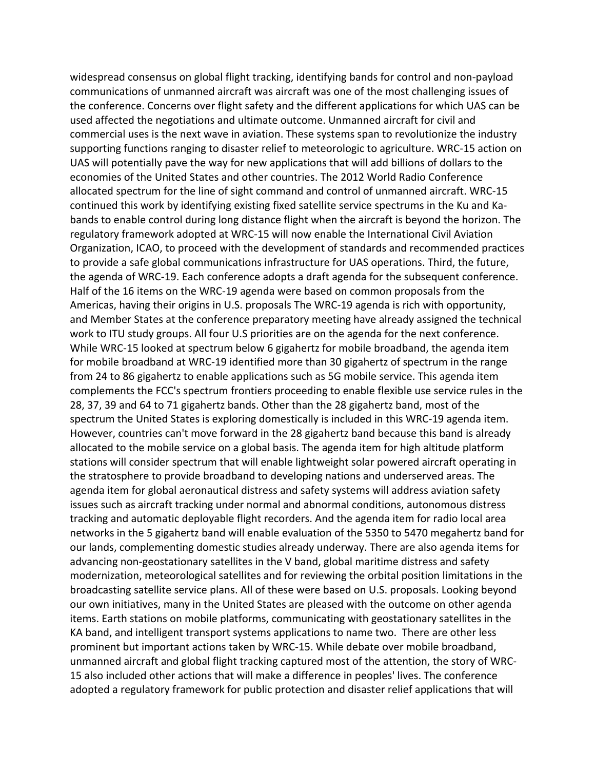widespread consensus on global flight tracking, identifying bands for control and non-payload communications of unmanned aircraft was aircraft was one of the most challenging issues of the conference. Concerns over flight safety and the different applications for which UAS can be used affected the negotiations and ultimate outcome. Unmanned aircraft for civil and commercial uses is the next wave in aviation. These systems span to revolutionize the industry supporting functions ranging to disaster relief to meteorologic to agriculture. WRC‐15 action on UAS will potentially pave the way for new applications that will add billions of dollars to the economies of the United States and other countries. The 2012 World Radio Conference allocated spectrum for the line of sight command and control of unmanned aircraft. WRC‐15 continued this work by identifying existing fixed satellite service spectrums in the Ku and Ka‐ bands to enable control during long distance flight when the aircraft is beyond the horizon. The regulatory framework adopted at WRC‐15 will now enable the International Civil Aviation Organization, ICAO, to proceed with the development of standards and recommended practices to provide a safe global communications infrastructure for UAS operations. Third, the future, the agenda of WRC‐19. Each conference adopts a draft agenda for the subsequent conference. Half of the 16 items on the WRC‐19 agenda were based on common proposals from the Americas, having their origins in U.S. proposals The WRC‐19 agenda is rich with opportunity, and Member States at the conference preparatory meeting have already assigned the technical work to ITU study groups. All four U.S priorities are on the agenda for the next conference. While WRC‐15 looked at spectrum below 6 gigahertz for mobile broadband, the agenda item for mobile broadband at WRC‐19 identified more than 30 gigahertz of spectrum in the range from 24 to 86 gigahertz to enable applications such as 5G mobile service. This agenda item complements the FCC's spectrum frontiers proceeding to enable flexible use service rules in the 28, 37, 39 and 64 to 71 gigahertz bands. Other than the 28 gigahertz band, most of the spectrum the United States is exploring domestically is included in this WRC‐19 agenda item. However, countries can't move forward in the 28 gigahertz band because this band is already allocated to the mobile service on a global basis. The agenda item for high altitude platform stations will consider spectrum that will enable lightweight solar powered aircraft operating in the stratosphere to provide broadband to developing nations and underserved areas. The agenda item for global aeronautical distress and safety systems will address aviation safety issues such as aircraft tracking under normal and abnormal conditions, autonomous distress tracking and automatic deployable flight recorders. And the agenda item for radio local area networks in the 5 gigahertz band will enable evaluation of the 5350 to 5470 megahertz band for our lands, complementing domestic studies already underway. There are also agenda items for advancing non-geostationary satellites in the V band, global maritime distress and safety modernization, meteorological satellites and for reviewing the orbital position limitations in the broadcasting satellite service plans. All of these were based on U.S. proposals. Looking beyond our own initiatives, many in the United States are pleased with the outcome on other agenda items. Earth stations on mobile platforms, communicating with geostationary satellites in the KA band, and intelligent transport systems applications to name two. There are other less prominent but important actions taken by WRC‐15. While debate over mobile broadband, unmanned aircraft and global flight tracking captured most of the attention, the story of WRC‐ 15 also included other actions that will make a difference in peoples' lives. The conference adopted a regulatory framework for public protection and disaster relief applications that will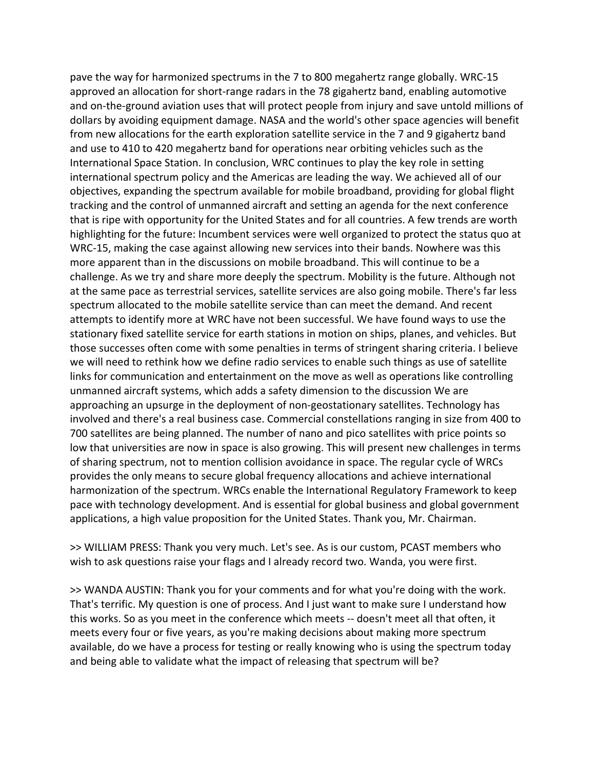pave the way for harmonized spectrums in the 7 to 800 megahertz range globally. WRC‐15 approved an allocation for short-range radars in the 78 gigahertz band, enabling automotive and on-the-ground aviation uses that will protect people from injury and save untold millions of dollars by avoiding equipment damage. NASA and the world's other space agencies will benefit from new allocations for the earth exploration satellite service in the 7 and 9 gigahertz band and use to 410 to 420 megahertz band for operations near orbiting vehicles such as the International Space Station. In conclusion, WRC continues to play the key role in setting international spectrum policy and the Americas are leading the way. We achieved all of our objectives, expanding the spectrum available for mobile broadband, providing for global flight tracking and the control of unmanned aircraft and setting an agenda for the next conference that is ripe with opportunity for the United States and for all countries. A few trends are worth highlighting for the future: Incumbent services were well organized to protect the status quo at WRC‐15, making the case against allowing new services into their bands. Nowhere was this more apparent than in the discussions on mobile broadband. This will continue to be a challenge. As we try and share more deeply the spectrum. Mobility is the future. Although not at the same pace as terrestrial services, satellite services are also going mobile. There's far less spectrum allocated to the mobile satellite service than can meet the demand. And recent attempts to identify more at WRC have not been successful. We have found ways to use the stationary fixed satellite service for earth stations in motion on ships, planes, and vehicles. But those successes often come with some penalties in terms of stringent sharing criteria. I believe we will need to rethink how we define radio services to enable such things as use of satellite links for communication and entertainment on the move as well as operations like controlling unmanned aircraft systems, which adds a safety dimension to the discussion We are approaching an upsurge in the deployment of non‐geostationary satellites. Technology has involved and there's a real business case. Commercial constellations ranging in size from 400 to 700 satellites are being planned. The number of nano and pico satellites with price points so low that universities are now in space is also growing. This will present new challenges in terms of sharing spectrum, not to mention collision avoidance in space. The regular cycle of WRCs provides the only means to secure global frequency allocations and achieve international harmonization of the spectrum. WRCs enable the International Regulatory Framework to keep pace with technology development. And is essential for global business and global government applications, a high value proposition for the United States. Thank you, Mr. Chairman.

>> WILLIAM PRESS: Thank you very much. Let's see. As is our custom, PCAST members who wish to ask questions raise your flags and I already record two. Wanda, you were first.

>> WANDA AUSTIN: Thank you for your comments and for what you're doing with the work. That's terrific. My question is one of process. And I just want to make sure I understand how this works. So as you meet in the conference which meets ‐‐ doesn't meet all that often, it meets every four or five years, as you're making decisions about making more spectrum available, do we have a process for testing or really knowing who is using the spectrum today and being able to validate what the impact of releasing that spectrum will be?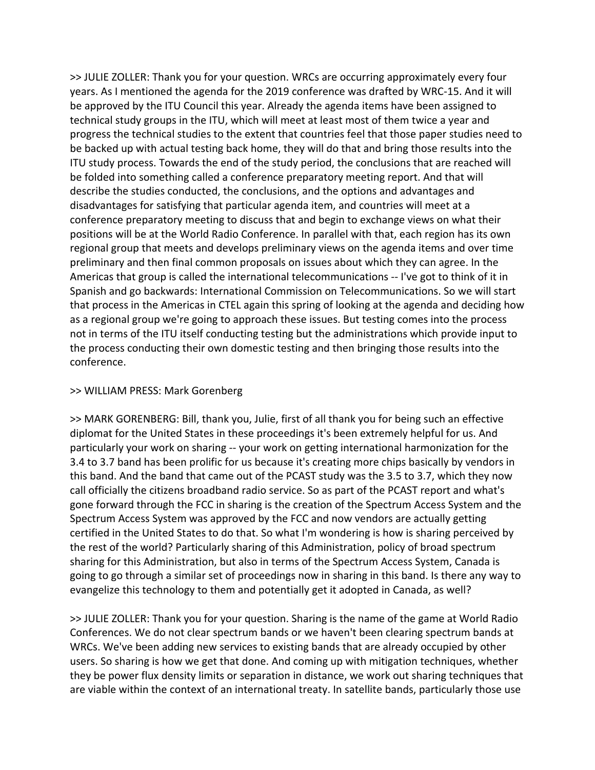>> JULIE ZOLLER: Thank you for your question. WRCs are occurring approximately every four years. As I mentioned the agenda for the 2019 conference was drafted by WRC‐15. And it will be approved by the ITU Council this year. Already the agenda items have been assigned to technical study groups in the ITU, which will meet at least most of them twice a year and progress the technical studies to the extent that countries feel that those paper studies need to be backed up with actual testing back home, they will do that and bring those results into the ITU study process. Towards the end of the study period, the conclusions that are reached will be folded into something called a conference preparatory meeting report. And that will describe the studies conducted, the conclusions, and the options and advantages and disadvantages for satisfying that particular agenda item, and countries will meet at a conference preparatory meeting to discuss that and begin to exchange views on what their positions will be at the World Radio Conference. In parallel with that, each region has its own regional group that meets and develops preliminary views on the agenda items and over time preliminary and then final common proposals on issues about which they can agree. In the Americas that group is called the international telecommunications ‐‐ I've got to think of it in Spanish and go backwards: International Commission on Telecommunications. So we will start that process in the Americas in CTEL again this spring of looking at the agenda and deciding how as a regional group we're going to approach these issues. But testing comes into the process not in terms of the ITU itself conducting testing but the administrations which provide input to the process conducting their own domestic testing and then bringing those results into the conference.

## >> WILLIAM PRESS: Mark Gorenberg

>> MARK GORENBERG: Bill, thank you, Julie, first of all thank you for being such an effective diplomat for the United States in these proceedings it's been extremely helpful for us. And particularly your work on sharing ‐‐ your work on getting international harmonization for the 3.4 to 3.7 band has been prolific for us because it's creating more chips basically by vendors in this band. And the band that came out of the PCAST study was the 3.5 to 3.7, which they now call officially the citizens broadband radio service. So as part of the PCAST report and what's gone forward through the FCC in sharing is the creation of the Spectrum Access System and the Spectrum Access System was approved by the FCC and now vendors are actually getting certified in the United States to do that. So what I'm wondering is how is sharing perceived by the rest of the world? Particularly sharing of this Administration, policy of broad spectrum sharing for this Administration, but also in terms of the Spectrum Access System, Canada is going to go through a similar set of proceedings now in sharing in this band. Is there any way to evangelize this technology to them and potentially get it adopted in Canada, as well?

>> JULIE ZOLLER: Thank you for your question. Sharing is the name of the game at World Radio Conferences. We do not clear spectrum bands or we haven't been clearing spectrum bands at WRCs. We've been adding new services to existing bands that are already occupied by other users. So sharing is how we get that done. And coming up with mitigation techniques, whether they be power flux density limits or separation in distance, we work out sharing techniques that are viable within the context of an international treaty. In satellite bands, particularly those use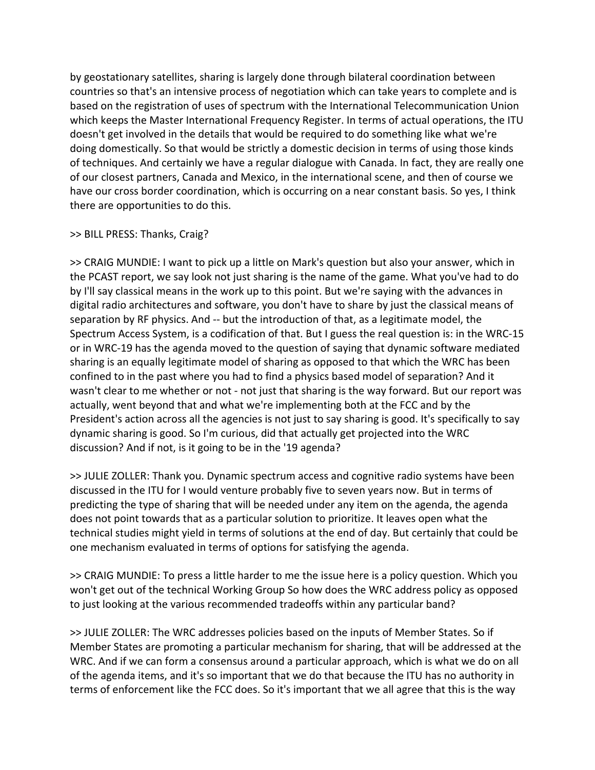by geostationary satellites, sharing is largely done through bilateral coordination between countries so that's an intensive process of negotiation which can take years to complete and is based on the registration of uses of spectrum with the International Telecommunication Union which keeps the Master International Frequency Register. In terms of actual operations, the ITU doesn't get involved in the details that would be required to do something like what we're doing domestically. So that would be strictly a domestic decision in terms of using those kinds of techniques. And certainly we have a regular dialogue with Canada. In fact, they are really one of our closest partners, Canada and Mexico, in the international scene, and then of course we have our cross border coordination, which is occurring on a near constant basis. So yes, I think there are opportunities to do this.

#### >> BILL PRESS: Thanks, Craig?

>> CRAIG MUNDIE: I want to pick up a little on Mark's question but also your answer, which in the PCAST report, we say look not just sharing is the name of the game. What you've had to do by I'll say classical means in the work up to this point. But we're saying with the advances in digital radio architectures and software, you don't have to share by just the classical means of separation by RF physics. And ‐‐ but the introduction of that, as a legitimate model, the Spectrum Access System, is a codification of that. But I guess the real question is: in the WRC‐15 or in WRC‐19 has the agenda moved to the question of saying that dynamic software mediated sharing is an equally legitimate model of sharing as opposed to that which the WRC has been confined to in the past where you had to find a physics based model of separation? And it wasn't clear to me whether or not - not just that sharing is the way forward. But our report was actually, went beyond that and what we're implementing both at the FCC and by the President's action across all the agencies is not just to say sharing is good. It's specifically to say dynamic sharing is good. So I'm curious, did that actually get projected into the WRC discussion? And if not, is it going to be in the '19 agenda?

>> JULIE ZOLLER: Thank you. Dynamic spectrum access and cognitive radio systems have been discussed in the ITU for I would venture probably five to seven years now. But in terms of predicting the type of sharing that will be needed under any item on the agenda, the agenda does not point towards that as a particular solution to prioritize. It leaves open what the technical studies might yield in terms of solutions at the end of day. But certainly that could be one mechanism evaluated in terms of options for satisfying the agenda.

>> CRAIG MUNDIE: To press a little harder to me the issue here is a policy question. Which you won't get out of the technical Working Group So how does the WRC address policy as opposed to just looking at the various recommended tradeoffs within any particular band?

>> JULIE ZOLLER: The WRC addresses policies based on the inputs of Member States. So if Member States are promoting a particular mechanism for sharing, that will be addressed at the WRC. And if we can form a consensus around a particular approach, which is what we do on all of the agenda items, and it's so important that we do that because the ITU has no authority in terms of enforcement like the FCC does. So it's important that we all agree that this is the way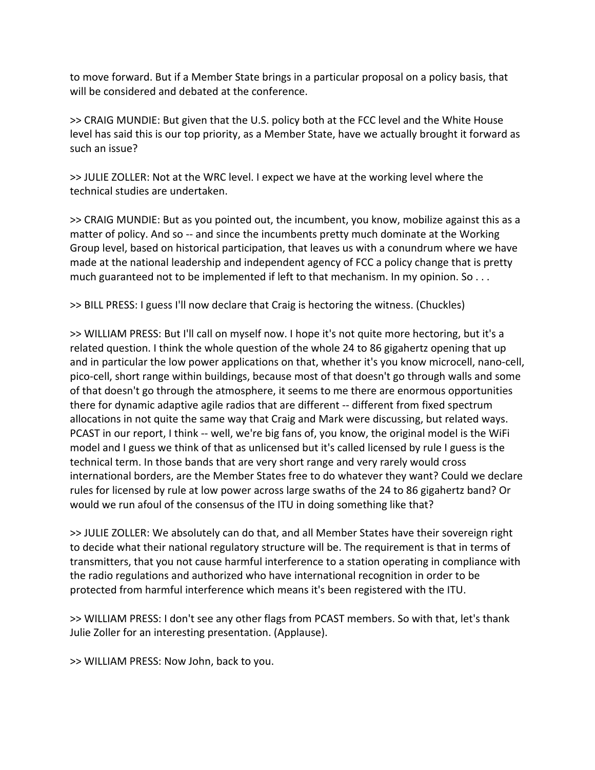to move forward. But if a Member State brings in a particular proposal on a policy basis, that will be considered and debated at the conference.

>> CRAIG MUNDIE: But given that the U.S. policy both at the FCC level and the White House level has said this is our top priority, as a Member State, have we actually brought it forward as such an issue?

>> JULIE ZOLLER: Not at the WRC level. I expect we have at the working level where the technical studies are undertaken.

>> CRAIG MUNDIE: But as you pointed out, the incumbent, you know, mobilize against this as a matter of policy. And so -- and since the incumbents pretty much dominate at the Working Group level, based on historical participation, that leaves us with a conundrum where we have made at the national leadership and independent agency of FCC a policy change that is pretty much guaranteed not to be implemented if left to that mechanism. In my opinion. So . . .

>> BILL PRESS: I guess I'll now declare that Craig is hectoring the witness. (Chuckles)

>> WILLIAM PRESS: But I'll call on myself now. I hope it's not quite more hectoring, but it's a related question. I think the whole question of the whole 24 to 86 gigahertz opening that up and in particular the low power applications on that, whether it's you know microcell, nano‐cell, pico-cell, short range within buildings, because most of that doesn't go through walls and some of that doesn't go through the atmosphere, it seems to me there are enormous opportunities there for dynamic adaptive agile radios that are different -- different from fixed spectrum allocations in not quite the same way that Craig and Mark were discussing, but related ways. PCAST in our report, I think -- well, we're big fans of, you know, the original model is the WiFi model and I guess we think of that as unlicensed but it's called licensed by rule I guess is the technical term. In those bands that are very short range and very rarely would cross international borders, are the Member States free to do whatever they want? Could we declare rules for licensed by rule at low power across large swaths of the 24 to 86 gigahertz band? Or would we run afoul of the consensus of the ITU in doing something like that?

>> JULIE ZOLLER: We absolutely can do that, and all Member States have their sovereign right to decide what their national regulatory structure will be. The requirement is that in terms of transmitters, that you not cause harmful interference to a station operating in compliance with the radio regulations and authorized who have international recognition in order to be protected from harmful interference which means it's been registered with the ITU.

>> WILLIAM PRESS: I don't see any other flags from PCAST members. So with that, let's thank Julie Zoller for an interesting presentation. (Applause).

>> WILLIAM PRESS: Now John, back to you.